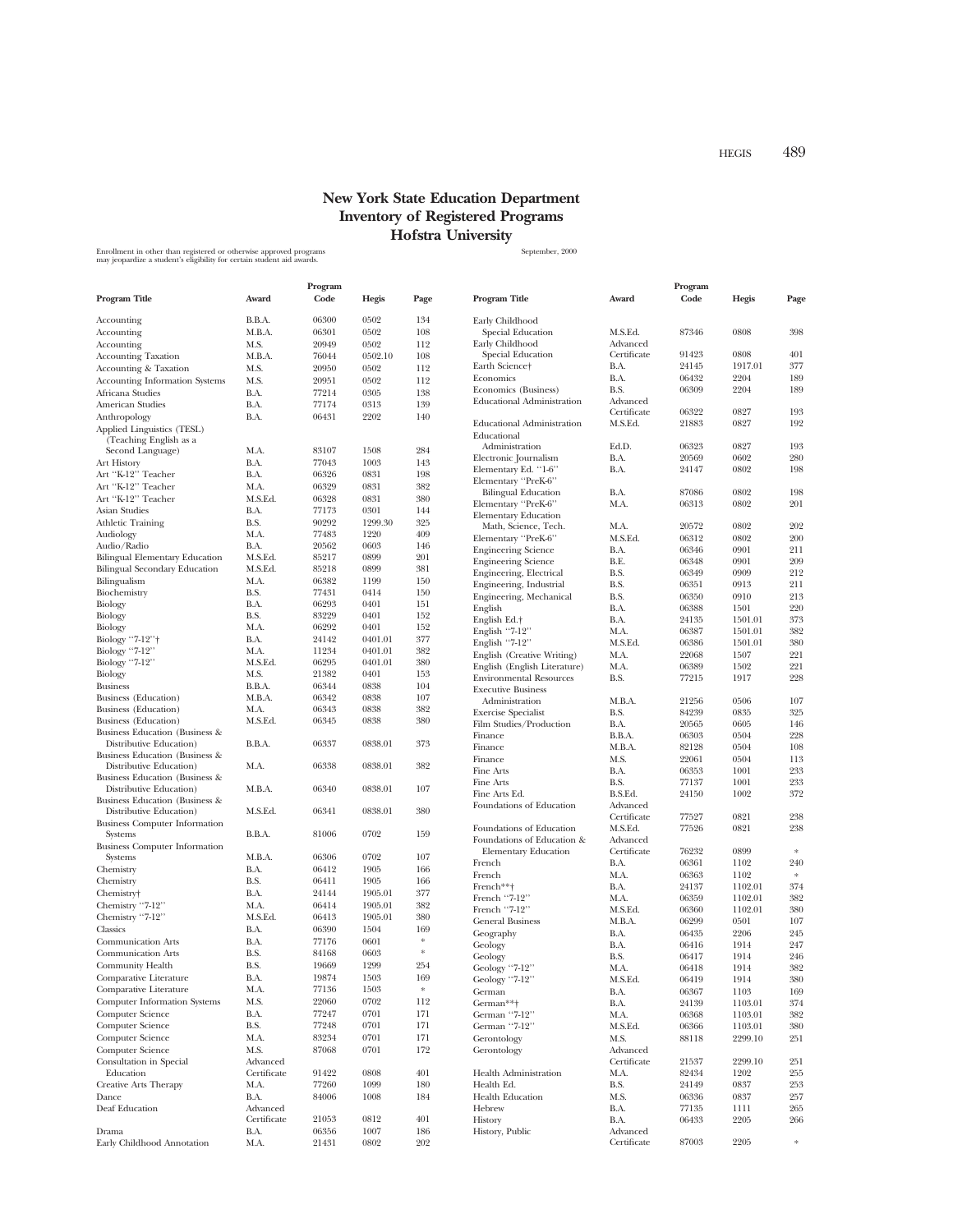## **New York State Education Department Inventory of Registered Programs Hofstra University**

Enrollment in other than registered or otherwise approved programs states and the state of the September, 2000<br>may jeopardize a student's eligibility for certain student aid awards.

|                                                           | Program                 |                |                    |              |                                                       | Program                 |                |              |               |
|-----------------------------------------------------------|-------------------------|----------------|--------------------|--------------|-------------------------------------------------------|-------------------------|----------------|--------------|---------------|
| Program Title                                             | Award                   | Code           | <b>Hegis</b>       | Page         | Program Title                                         | Award                   | Code           | Hegis        | Page          |
| Accounting                                                | B.B.A.                  | 06300          | 0502               | 134          | Early Childhood                                       |                         |                |              |               |
| Accounting                                                | M.B.A.                  | 06301          | 0502               | 108          | Special Education                                     | M.S.Ed.                 | 87346          | 0808         | 398           |
| Accounting                                                | M.S.                    | 20949          | 0502               | 112          | Early Childhood                                       | Advanced                |                | 0808         | 401           |
| <b>Accounting Taxation</b>                                | M.B.A.                  | 76044          | 0502.10            | 108          | Special Education<br>Earth Science <sup>+</sup>       | Certificate<br>B.A.     | 91423<br>24145 | 1917.01      | 377           |
| <b>Accounting &amp; Taxation</b>                          | M.S.                    | 20950          | 0502               | 112          | Economics                                             | B.A.                    | 06432          | 2204         | 189           |
| <b>Accounting Information Systems</b><br>Africana Studies | M.S.                    | 20951          | 0502<br>0305       | 112<br>138   | Economics (Business)                                  | B.S.                    | 06309          | 2204         | 189           |
|                                                           | B.A.<br>B.A.            | 77214<br>77174 | 0313               | 139          | <b>Educational Administration</b>                     | Advanced                |                |              |               |
| American Studies<br>Anthropology                          | B.A.                    | 06431          | 2202               | 140          |                                                       | Certificate             | 06322          | 0827         | 193           |
| Applied Linguistics (TESL)                                |                         |                |                    |              | <b>Educational Administration</b><br>Educational      | M.S.Ed.                 | 21883          | 0827         | 192           |
| (Teaching English as a                                    |                         |                |                    |              | Administration                                        | Ed.D.                   | 06323          | 0827         | 193           |
| Second Language)                                          | M.A.                    | 83107          | 1508               | 284          | Electronic Journalism                                 | B.A.                    | 20569          | 0602         | 280           |
| Art History<br>Art "K-12" Teacher                         | B.A.                    | 77043          | 1003<br>0831       | 143          | Elementary Ed. "1-6"                                  | B.A.                    | 24147          | 0802         | 198           |
| Art "K-12" Teacher                                        | B.A.<br>M.A.            | 06326<br>06329 | 0831               | 198<br>382   | Elementary "PreK-6"                                   |                         |                |              |               |
| Art "K-12" Teacher                                        | M.S.Ed.                 | 06328          | 0831               | 380          | <b>Bilingual Education</b>                            | B.A.                    | 87086          | 0802         | 198           |
| Asian Studies                                             | B.A.                    | 77173          | 0301               | 144          | Elementary "PreK-6"                                   | M.A.                    | 06313          | 0802         | 201           |
| <b>Athletic Training</b>                                  | B.S.                    | 90292          | 1299.30            | 325          | <b>Elementary Education</b>                           |                         |                |              |               |
| Audiology                                                 | M.A.                    | 77483          | 1220               | 409          | Math, Science, Tech.                                  | M.A.                    | 20572<br>06312 | 0802<br>0802 | 202<br>200    |
| Audio/Radio                                               | B.A.                    | 20562          | 0603               | 146          | Elementary "PreK-6"<br><b>Engineering Science</b>     | M.S.Ed.<br>B.A.         | 06346          | 0901         | 211           |
| <b>Bilingual Elementary Education</b>                     | M.S.Ed.                 | 85217          | 0899               | 201          | <b>Engineering Science</b>                            | B.E.                    | 06348          | 0901         | 209           |
| Bilingual Secondary Education                             | M.S.Ed.                 | 85218          | 0899               | 381          | Engineering, Electrical                               | B.S.                    | 06349          | 0909         | 212           |
| Bilingualism                                              | M.A.                    | 06382          | 1199               | 150          | Engineering, Industrial                               | B.S.                    | 06351          | 0913         | 211           |
| Biochemistry                                              | B.S.                    | 77431          | 0414               | 150          | Engineering, Mechanical                               | B.S.                    | 06350          | 0910         | 213           |
| Biology                                                   | B.A.                    | 06293          | 0401               | 151          | English                                               | B.A.                    | 06388          | 1501         | 220           |
| Biology                                                   | B.S.                    | 83229          | 0401               | 152          | English Ed.+                                          | B.A.                    | 24135          | 1501.01      | 373           |
| Biology                                                   | M.A.                    | 06292          | 0401               | 152          | English "7-12"                                        | M.A.                    | 06387          | 1501.01      | 382           |
| Biology "7-12" <sup>+</sup>                               | B.A.                    | 24142          | 0401.01            | 377          | English "7-12"                                        | M.S.Ed.                 | 06386          | 1501.01      | 380           |
| Biology "7-12"<br>Biology "7-12"                          | M.A.<br>M.S.Ed.         | 11234<br>06295 | 0401.01<br>0401.01 | 382<br>380   | English (Creative Writing)                            | M.A.                    | 22068          | 1507         | 221           |
| Biology                                                   | M.S.                    | 21382          | 0401               | 153          | English (English Literature)                          | M.A.                    | 06389          | 1502         | 221           |
| <b>Business</b>                                           | B.B.A.                  | 06344          | 0838               | 104          | <b>Environmental Resources</b>                        | B.S.                    | 77215          | 1917         | 228           |
| Business (Education)                                      | M.B.A.                  | 06342          | 0838               | 107          | <b>Executive Business</b>                             |                         |                |              |               |
| <b>Business</b> (Education)                               | M.A.                    | 06343          | 0838               | 382          | Administration                                        | M.B.A.<br>B.S.          | 21256<br>84239 | 0506<br>0835 | 107<br>325    |
| Business (Education)                                      | M.S.Ed.                 | 06345          | 0838               | 380          | <b>Exercise Specialist</b><br>Film Studies/Production | B.A.                    | 20565          | 0605         | 146           |
| Business Education (Business &                            |                         |                |                    |              | Finance                                               | B.B.A.                  | 06303          | 0504         | 228           |
| Distributive Education)                                   | B.B.A.                  | 06337          | 0838.01            | 373          | Finance                                               | M.B.A.                  | 82128          | 0504         | 108           |
| Business Education (Business &                            |                         |                |                    |              | Finance                                               | M.S.                    | 22061          | 0504         | 113           |
| Distributive Education)                                   | M.A.                    | 06338          | 0838.01            | 382          | Fine Arts                                             | B.A.                    | 06353          | 1001         | 233           |
| Business Education (Business &                            |                         |                |                    |              | Fine Arts                                             | B.S.                    | 77137          | 1001         | 233           |
| Distributive Education)                                   | M.B.A.                  | 06340          | 0838.01            | 107          | Fine Arts Ed.                                         | B.S.Ed.                 | 24150          | 1002         | 372           |
| Business Education (Business &<br>Distributive Education) | M.S.Ed.                 | 06341          | 0838.01            | 380          | Foundations of Education                              | Advanced                |                |              |               |
| <b>Business Computer Information</b>                      |                         |                |                    |              |                                                       | Certificate             | 77527          | 0821         | 238           |
| Systems                                                   | B.B.A.                  | 81006          | 0702               | 159          | Foundations of Education                              | M.S.Ed.                 | 77526          | 0821         | 238           |
| <b>Business Computer Information</b>                      |                         |                |                    |              | Foundations of Education &                            | Advanced                |                |              |               |
| Systems                                                   | M.B.A.                  | 06306          | 0702               | 107          | <b>Elementary Education</b>                           | Certificate             | 76232          | 0899         | $\mathcal{R}$ |
| Chemistry                                                 | B.A.                    | 06412          | 1905               | 166          | French<br>French                                      | B.A.<br>M.A.            | 06361<br>06363 | 1102<br>1102 | 240<br>$\ast$ |
| Chemistry                                                 | B.S.                    | 06411          | 1905               | 166          | French**†                                             | B.A.                    | 24137          | 1102.01      | 374           |
| Chemistry <sup>+</sup>                                    | B.A.                    | 24144          | 1905.01            | 377          | French "7-12"                                         | M.A.                    | 06359          | 1102.01      | 382           |
| Chemistry "7-12"                                          | M.A.                    | 06414          | 1905.01            | 382          | French "7-12"                                         | M.S.Ed.                 | 06360          | 1102.01      | 380           |
| Chemistry "7-12"                                          | M.S.Ed.                 | 06413          | 1905.01            | 380          | <b>General Business</b>                               | M.B.A.                  | 06299          | 0501         | 107           |
| Classics                                                  | B.A.                    | 06390          | 1504               | 169          | Geography                                             | B.A.                    | 06435          | 2206         | 245           |
| Communication Arts                                        | B.A.                    | 77176          | 0601               | ∗            | Geology                                               | B.A.                    | 06416          | 1914         | 247           |
| <b>Communication Arts</b>                                 | B.S.                    | 84168          | 0603               | *            | Geology                                               | B.S.                    | 06417          | 1914         | 246           |
| Community Health                                          | B.S.                    | 19669          | 1299               | 254          | Geology "7-12"                                        | M.A.                    | 06418          | 1914         | 382           |
| Comparative Literature                                    | B.A.                    | 19874          | 1503               | 169          | Geology<br>'7-12                                      | M.S.Ed.                 | 06419          | 1914         | 380           |
| Comparative Literature                                    | M.A.                    | 77136          | 1503               | $\ddot{\pi}$ | German                                                | B.A.                    | 06367          | 1103         | 169           |
| <b>Computer Information Systems</b>                       | M.S.                    | 22060          | 0702               | 112          | German**+                                             | B.A.                    | 24139          | 1103.01      | 374           |
| Computer Science                                          | B.A.                    | 77247          | 0701               | 171          | German "7-12"                                         | M.A.                    | 06368          | 1103.01      | 382           |
| Computer Science                                          | B.S.                    | 77248          | 0701               | 171          | German "7-12"                                         | M.S.Ed.                 | 06366          | 1103.01      | 380           |
| Computer Science                                          | M.A.                    | 83234          | 0701               | 171          | Gerontology                                           | M.S.                    | 88118          | 2299.10      | 251           |
| Computer Science                                          | M.S.                    | 87068          | 0701               | 172          | Gerontology                                           | Advanced<br>Certificate | 21537          | 2299.10      | 251           |
| Consultation in Special<br>Education                      | Advanced<br>Certificate | 91422          | 0808               | 401          | <b>Health Administration</b>                          | M.A.                    | 82434          | 1202         | 255           |
| <b>Creative Arts Therapy</b>                              | M.A.                    | 77260          | 1099               | 180          | Health Ed.                                            | B.S.                    | 24149          | 0837         | 253           |
| Dance                                                     | B.A.                    | 84006          | 1008               | 184          | <b>Health Education</b>                               | M.S.                    | 06336          | 0837         | 257           |
| Deaf Education                                            | Advanced                |                |                    |              | Hebrew                                                | B.A.                    | 77135          | 1111         | 265           |
|                                                           | Certificate             | 21053          | 0812               | 401          | History                                               | B.A.                    | 06433          | 2205         | 266           |
| Drama                                                     | B.A.                    | 06356          | 1007               | 186          | History, Public                                       | Advanced                |                |              |               |
| Early Childhood Annotation                                | M.A.                    | 21431          | 0802               | 202          |                                                       | Certificate             | 87003          | 2205         | $\ast$        |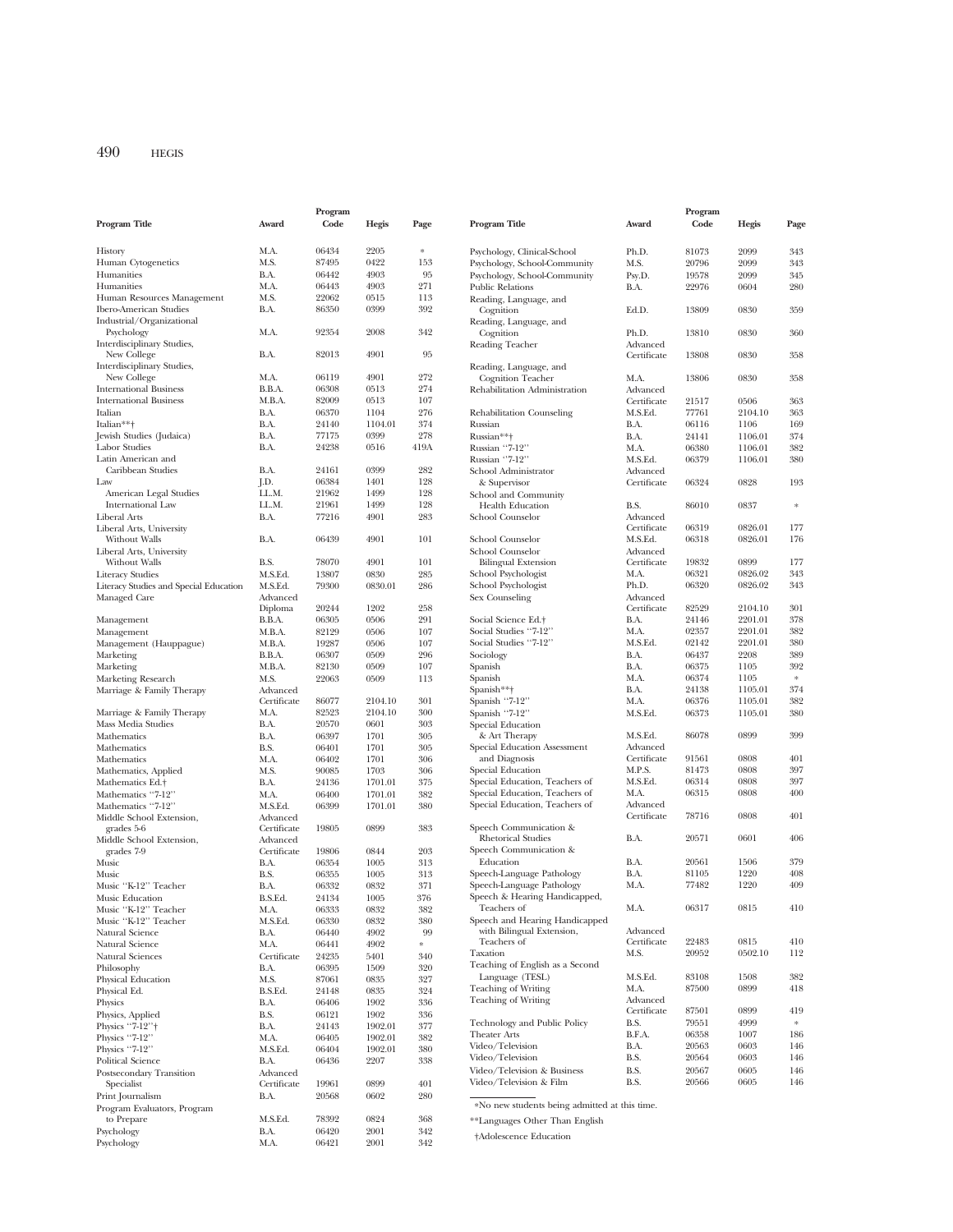|                                        |             | Program |         |                   |                                               |             | Program |         |           |
|----------------------------------------|-------------|---------|---------|-------------------|-----------------------------------------------|-------------|---------|---------|-----------|
| Program Title                          | Award       | Code    | Hegis   | Page              | Program Title                                 | Award       | Code    | Hegis   | Page      |
| History                                | M.A.        | 06434   | 2205    | $\frac{1}{2} \xi$ | Psychology, Clinical-School                   | Ph.D.       | 81073   | 2099    | 343       |
| Human Cytogenetics                     | M.S.        | 87495   | 0422    | 153               | Psychology, School-Community                  | M.S.        | 20796   | 2099    | 343       |
| Humanities                             | B.A.        | 06442   | 4903    | 95                |                                               |             |         |         |           |
|                                        |             |         |         |                   | Psychology, School-Community                  | Psy.D.      | 19578   | 2099    | 345       |
| Humanities                             | M.A.        | 06443   | 4903    | 271               | <b>Public Relations</b>                       | B.A.        | 22976   | 0604    | 280       |
| Human Resources Management             | M.S.        | 22062   | 0515    | 113               | Reading, Language, and                        |             |         |         |           |
| <b>Ibero-American Studies</b>          | B.A.        | 86350   | 0399    | 392               | Cognition                                     | Ed.D.       | 13809   | 0830    | 359       |
| Industrial/Organizational              |             |         |         |                   | Reading, Language, and                        |             |         |         |           |
| Psychology                             | M.A.        | 92354   | 2008    | 342               | Cognition                                     | Ph.D.       | 13810   | 0830    | 360       |
| Interdisciplinary Studies,             |             |         |         |                   | Reading Teacher                               | Advanced    |         |         |           |
| New College                            | B.A.        | 82013   | 4901    | 95                |                                               | Certificate | 13808   | 0830    | 358       |
| Interdisciplinary Studies,             |             |         |         |                   | Reading, Language, and                        |             |         |         |           |
| New College                            | M.A.        | 06119   | 4901    | 272               | <b>Cognition Teacher</b>                      | M.A.        | 13806   | 0830    | 358       |
| <b>International Business</b>          | B.B.A.      | 06308   | 0513    | 274               | Rehabilitation Administration                 | Advanced    |         |         |           |
| <b>International Business</b>          | M.B.A.      | 82009   | 0513    | 107               |                                               | Certificate | 21517   | 0506    | 363       |
| Italian                                | B.A.        | 06370   | 1104    | 276               | Rehabilitation Counseling                     | M.S.Ed.     | 77761   | 2104.10 | 363       |
| Italian**+                             | B.A.        | 24140   | 1104.01 | 374               | Russian                                       | B.A.        | 06116   | 1106    | 169       |
| Jewish Studies (Judaica)               | B.A.        | 77175   | 0399    | 278               | Russian**+                                    | B.A.        | 24141   | 1106.01 | 374       |
| <b>Labor Studies</b>                   | B.A.        | 24238   | 0516    | 419A              | Russian "7-12"                                | M.A.        | 06380   | 1106.01 | 382       |
| Latin American and                     |             |         |         |                   | Russian "7-12"                                | M.S.Ed.     | 06379   | 1106.01 | 380       |
| Caribbean Studies                      | B.A.        | 24161   | 0399    | 282               | School Administrator                          | Advanced    |         |         |           |
| Law                                    | J.D.        | 06384   | 1401    | 128               | & Supervisor                                  | Certificate | 06324   | 0828    | 193       |
| American Legal Studies                 | LL.M.       | 21962   | 1499    | 128               | School and Community                          |             |         |         |           |
| <b>International Law</b>               | LL.M.       | 21961   | 1499    | 128               | <b>Health Education</b>                       | B.S.        | 86010   | 0837    | $\approx$ |
| Liberal Arts                           | B.A.        | 77216   | 4901    | 283               | School Counselor                              | Advanced    |         |         |           |
| Liberal Arts, University               |             |         |         |                   |                                               | Certificate | 06319   | 0826.01 | 177       |
| Without Walls                          | B.A.        | 06439   | 4901    | 101               | School Counselor                              | M.S.Ed.     | 06318   | 0826.01 | 176       |
|                                        |             |         |         |                   | School Counselor                              | Advanced    |         |         |           |
| Liberal Arts, University               |             |         |         |                   |                                               |             | 19832   | 0899    | 177       |
| Without Walls                          | B.S.        | 78070   | 4901    | 101               | <b>Bilingual Extension</b>                    | Certificate |         |         |           |
| <b>Literacy Studies</b>                | M.S.Ed.     | 13807   | 0830    | 285               | School Psychologist                           | M.A.        | 06321   | 0826.02 | 343       |
| Literacy Studies and Special Education | M.S.Ed.     | 79300   | 0830.01 | 286               | School Psychologist                           | Ph.D.       | 06320   | 0826.02 | 343       |
| Managed Care                           | Advanced    |         |         |                   | Sex Counseling                                | Advanced    |         |         |           |
|                                        | Diploma     | 20244   | 1202    | 258               |                                               | Certificate | 82529   | 2104.10 | 301       |
| Management                             | B.B.A.      | 06305   | 0506    | 291               | Social Science Ed.+                           | B.A.        | 24146   | 2201.01 | 378       |
| Management                             | M.B.A.      | 82129   | 0506    | 107               | Social Studies "7-12"                         | M.A.        | 02357   | 2201.01 | 382       |
| Management (Hauppague)                 | M.B.A.      | 19287   | 0506    | 107               | Social Studies "7-12"                         | M.S.Ed.     | 02142   | 2201.01 | 380       |
| Marketing                              | B.B.A.      | 06307   | 0509    | 296               | Sociology                                     | B.A.        | 06437   | 2208    | 389       |
| Marketing                              | M.B.A.      | 82130   | 0509    | 107               | Spanish                                       | B.A.        | 06375   | 1105    | 392       |
| Marketing Research                     | M.S.        | 22063   | 0509    | 113               | Spanish                                       | M.A.        | 06374   | 1105    | $\approx$ |
| Marriage & Family Therapy              | Advanced    |         |         |                   | Spanish**†                                    | B.A.        | 24138   | 1105.01 | 374       |
|                                        | Certificate | 86077   | 2104.10 | 301               | Spanish "7-12"                                | M.A.        | 06376   | 1105.01 | 382       |
| Marriage & Family Therapy              | M.A.        | 82523   | 2104.10 | 300               | Spanish "7-12"                                | M.S.Ed.     | 06373   | 1105.01 | 380       |
| Mass Media Studies                     | B.A.        | 20570   | 0601    | 303               | Special Education                             |             |         |         |           |
| Mathematics                            | B.A.        | 06397   | 1701    | 305               | & Art Therapy                                 | M.S.Ed.     | 86078   | 0899    | 399       |
| Mathematics                            | B.S.        | 06401   | 1701    | 305               | Special Education Assessment                  | Advanced    |         |         |           |
| Mathematics                            | M.A.        | 06402   | 1701    | 306               | and Diagnosis                                 | Certificate | 91561   | 0808    | 401       |
| Mathematics, Applied                   | M.S.        | 90085   | 1703    | 306               | Special Education                             | M.P.S.      | 81473   | 0808    | 397       |
| Mathematics Ed.+                       | B.A.        | 24136   | 1701.01 | 375               | Special Education, Teachers of                | M.S.Ed.     | 06314   | 0808    | 397       |
| Mathematics "7-12"                     | M.A.        | 06400   | 1701.01 | 382               | Special Education, Teachers of                | M.A.        | 06315   | 0808    | 400       |
| Mathematics "7-12"                     | M.S.Ed.     | 06399   | 1701.01 | 380               | Special Education, Teachers of                | Advanced    |         |         |           |
|                                        | Advanced    |         |         |                   |                                               | Certificate | 78716   | 0808    | 401       |
| Middle School Extension,               |             |         |         |                   | Speech Communication &                        |             |         |         |           |
| grades 5-6                             | Certificate | 19805   | 0899    | 383               | <b>Rhetorical Studies</b>                     | B.A.        | 20571   | 0601    | 406       |
| Middle School Extension,               | Advanced    |         |         |                   | Speech Communication &                        |             |         |         |           |
| grades 7-9                             | Certificate | 19806   | 0844    | 203               | Education                                     | B.A.        | 20561   | 1506    | 379       |
| Music                                  | B.A.        | 06354   | 1005    | 313               |                                               |             |         | 1220    | 408       |
| Music                                  | B.S.        | 06355   | 1005    | 313               | Speech-Language Pathology                     | B.A.        | 81105   |         |           |
| Music "K-12" Teacher                   | B.A.        | 06332   | 0832    | 371               | Speech-Language Pathology                     | M.A.        | 77482   | 1220    | 409       |
| Music Education                        | B.S.Ed.     | 24134   | 1005    | 376               | Speech & Hearing Handicapped,                 |             |         |         |           |
| Music "K-12" Teacher                   | M.A.        | 06333   | 0832    | 382               | Teachers of                                   | M.A.        | 06317   | 0815    | 410       |
| Music "K-12" Teacher                   | M.S.Ed.     | 06330   | 0832    | 380               | Speech and Hearing Handicapped                |             |         |         |           |
| Natural Science                        | B.A.        | 06440   | 4902    | 99                | with Bilingual Extension,                     | Advanced    |         |         |           |
| Natural Science                        | M.A.        | 06441   | 4902    | *                 | Teachers of                                   | Certificate | 22483   | 0815    | 410       |
| Natural Sciences                       | Certificate | 24235   | 5401    | 340               | Taxation                                      | M.S.        | 20952   | 0502.10 | 112       |
| Philosophy                             | B.A.        | 06395   | 1509    | 320               | Teaching of English as a Second               |             |         |         |           |
| Physical Education                     | M.S.        | 87061   | 0835    | 327               | Language (TESL)                               | M.S.Ed.     | 83108   | 1508    | 382       |
| Physical Ed.                           | B.S.Ed.     | 24148   | 0835    | 324               | <b>Teaching of Writing</b>                    | M.A.        | 87500   | 0899    | 418       |
| Physics                                | B.A.        | 06406   | 1902    | 336               | <b>Teaching of Writing</b>                    | Advanced    |         |         |           |
| Physics, Applied                       | B.S.        | 06121   | 1902    | 336               |                                               | Certificate | 87501   | 0899    | 419       |
| Physics "7-12"+                        | B.A.        | 24143   | 1902.01 | 377               | Technology and Public Policy                  | B.S.        | 79551   | 4999    | $\approx$ |
| Physics "7-12"                         | M.A.        | 06405   | 1902.01 | 382               | <b>Theater Arts</b>                           | B.F.A.      | 06358   | 1007    | 186       |
| Physics "7-12"                         |             |         |         |                   | Video/Television                              | B.A.        | 20563   | 0603    | 146       |
|                                        | M.S.Ed.     | 06404   | 1902.01 | 380               | Video/Television                              | B.S.        | 20564   | 0603    | 146       |
| <b>Political Science</b>               | B.A.        | 06436   | 2207    | 338               | Video/Television & Business                   | B.S.        | 20567   | 0605    | 146       |
| Postsecondary Transition               | Advanced    |         |         |                   | Video/Television & Film                       | B.S.        | 20566   | 0605    | 146       |
| Specialist                             | Certificate | 19961   | 0899    | 401               |                                               |             |         |         |           |
| Print Journalism                       | B.A.        | 20568   | 0602    | 280               |                                               |             |         |         |           |
| Program Evaluators, Program            |             |         |         |                   | *No new students being admitted at this time. |             |         |         |           |
| to Prepare                             | M.S.Ed.     | 78392   | 0824    | 368               | **Languages Other Than English                |             |         |         |           |
| Psychology                             | B.A.        | 06420   | 2001    | 342               | †Adolescence Education                        |             |         |         |           |
| Psychology                             | M.A.        | 06421   | 2001    | 342               |                                               |             |         |         |           |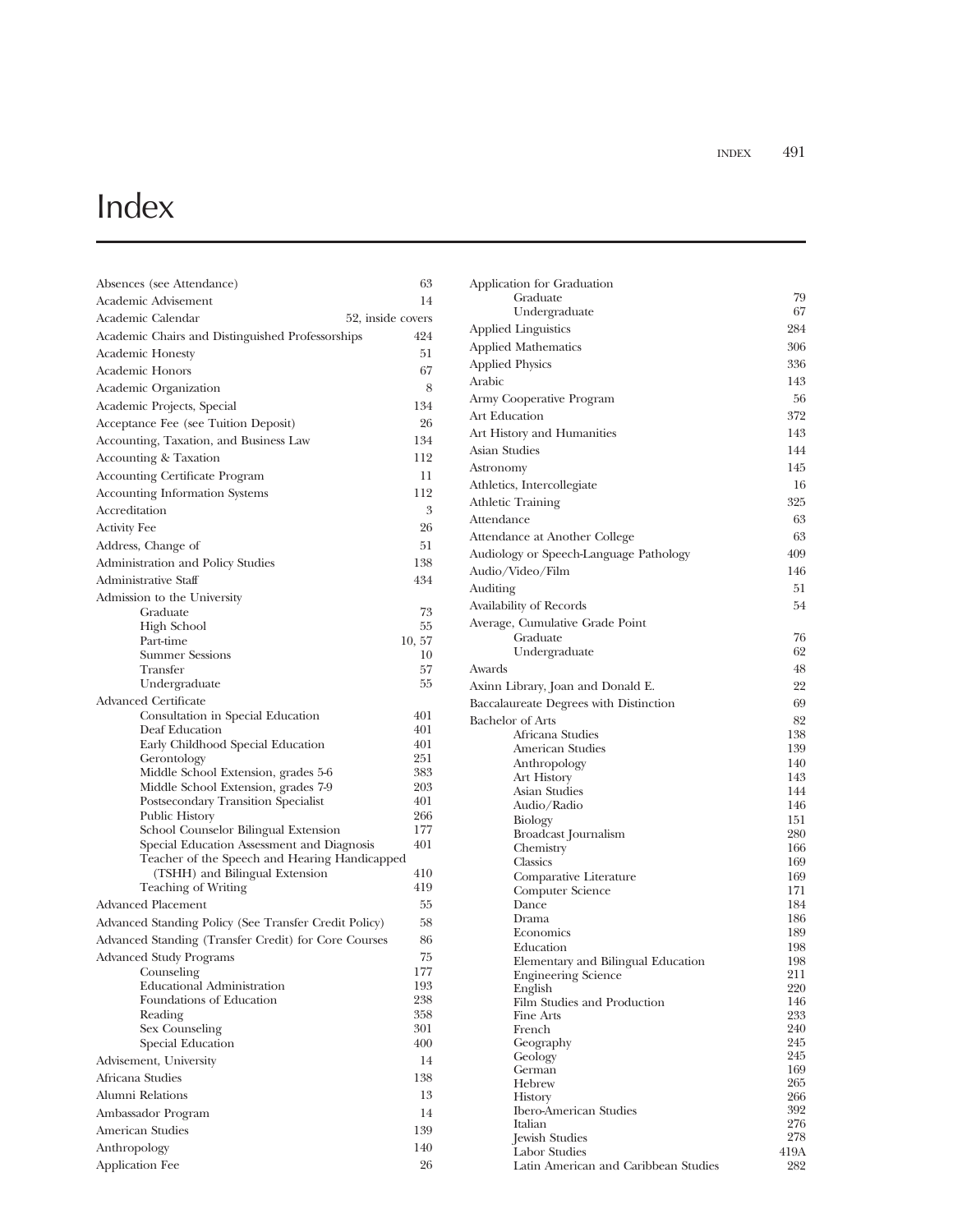## Index

| Absences (see Attendance)                                 | 63         |
|-----------------------------------------------------------|------------|
| Academic Advisement                                       | 14         |
| Academic Calendar<br>52, inside covers                    |            |
| Academic Chairs and Distinguished Professorships          | 424        |
| <b>Academic Honesty</b>                                   | 51         |
| Academic Honors                                           | 67         |
| Academic Organization                                     | 8          |
| Academic Projects, Special                                | 134        |
| Acceptance Fee (see Tuition Deposit)                      | 26         |
| Accounting, Taxation, and Business Law                    | 134        |
| Accounting & Taxation                                     | 112        |
| <b>Accounting Certificate Program</b>                     | 11         |
| <b>Accounting Information Systems</b>                     | 112        |
| Accreditation                                             | 3          |
| <b>Activity Fee</b>                                       | 26         |
| Address, Change of                                        | 51         |
| Administration and Policy Studies                         | 138        |
| Administrative Staff                                      | 434        |
| Admission to the University                               |            |
| Graduate                                                  | 73         |
| <b>High School</b>                                        | 55         |
| Part-time                                                 | 10, 57     |
| <b>Summer Sessions</b>                                    | 10         |
| Transfer                                                  | 57         |
| Undergraduate                                             | 55         |
| Advanced Certificate<br>Consultation in Special Education | 401        |
| Deaf Education                                            | 401        |
| Early Childhood Special Education                         | 401        |
| Gerontology                                               | 251        |
| Middle School Extension, grades 5-6                       | 383        |
| Middle School Extension, grades 7-9                       | 203        |
| Postsecondary Transition Specialist<br>Public History     | 401<br>266 |
| School Counselor Bilingual Extension                      | 177        |
| Special Education Assessment and Diagnosis                | 401        |
| Teacher of the Speech and Hearing Handicapped             |            |
| (TSHH) and Bilingual Extension                            | 410        |
| <b>Teaching of Writing</b>                                | 419        |
| Advanced Placement                                        | 55         |
| Advanced Standing Policy (See Transfer Credit Policy)     | 58         |
| Advanced Standing (Transfer Credit) for Core Courses      | 86         |
| <b>Advanced Study Programs</b>                            | 75         |
| Counseling<br><b>Educational Administration</b>           | 177<br>193 |
| Foundations of Education                                  | 238        |
| Reading                                                   | 358        |
| Sex Counseling                                            | 301        |
| Special Education                                         | 400        |
| Advisement, University                                    | 14         |
| Africana Studies                                          | 138        |
| Alumni Relations                                          | 13         |
| Ambassador Program                                        | 14         |
| American Studies                                          | 139        |
| Anthropology                                              | 140        |
| Application Fee                                           | 26         |

| Application for Graduation                    |             |
|-----------------------------------------------|-------------|
| Graduate                                      | 79          |
| Undergraduate                                 | 67          |
| <b>Applied Linguistics</b>                    | 284         |
| <b>Applied Mathematics</b>                    | 306         |
| <b>Applied Physics</b>                        | 336         |
| <b>Arabic</b>                                 | 143         |
| Army Cooperative Program                      | 56          |
| Art Education                                 | 372         |
| Art History and Humanities                    | 143         |
| Asian Studies                                 | 144         |
| Astronomy                                     | 145         |
| Athletics, Intercollegiate                    | 16          |
| <b>Athletic Training</b>                      | 325         |
| Attendance                                    | 63          |
| Attendance at Another College                 | 63          |
| Audiology or Speech-Language Pathology        | 409         |
| Audio/Video/Film                              | 146         |
| Auditing                                      | 51          |
| Availability of Records                       | 54          |
| Average, Cumulative Grade Point               |             |
| Graduate                                      | 76          |
| Undergraduate                                 | 62          |
| Awards                                        | 48          |
| Axinn Library, Joan and Donald E.             | 22          |
| Baccalaureate Degrees with Distinction        | 69          |
| <b>Bachelor</b> of Arts                       | 82          |
| Africana Studies                              | 138         |
| American Studies<br>Anthropology              | 139<br>140  |
| <b>Art History</b>                            | 143         |
| Asian Studies                                 | 144         |
| Audio/Radio                                   | 146         |
| Biology                                       | 151         |
| Broadcast Journalism<br>Chemistry             | 280<br>166  |
| Classics                                      | 169         |
| Comparative Literature                        | 169         |
| Computer Science                              | 171         |
| Dance                                         | 184         |
| Drama<br>Economics                            | 186<br>189  |
| Education                                     | 198         |
| Elementary and Bilingual Education            | 198         |
| <b>Engineering Science</b>                    | 211         |
| English                                       | 220         |
| Film Studies and Production<br>Fine Arts      | 146<br>233  |
| French                                        | 240         |
| Geography                                     | 245         |
| Geology                                       | 245         |
| German<br>Hebrew                              | 169<br>265  |
| History                                       | 266         |
| <b>Ibero-American Studies</b>                 | 392         |
| Italian                                       | 276         |
| <b>Jewish Studies</b><br><b>Labor Studies</b> | 278<br>419A |
| Latin American and Caribbean Studies          | 282         |
|                                               |             |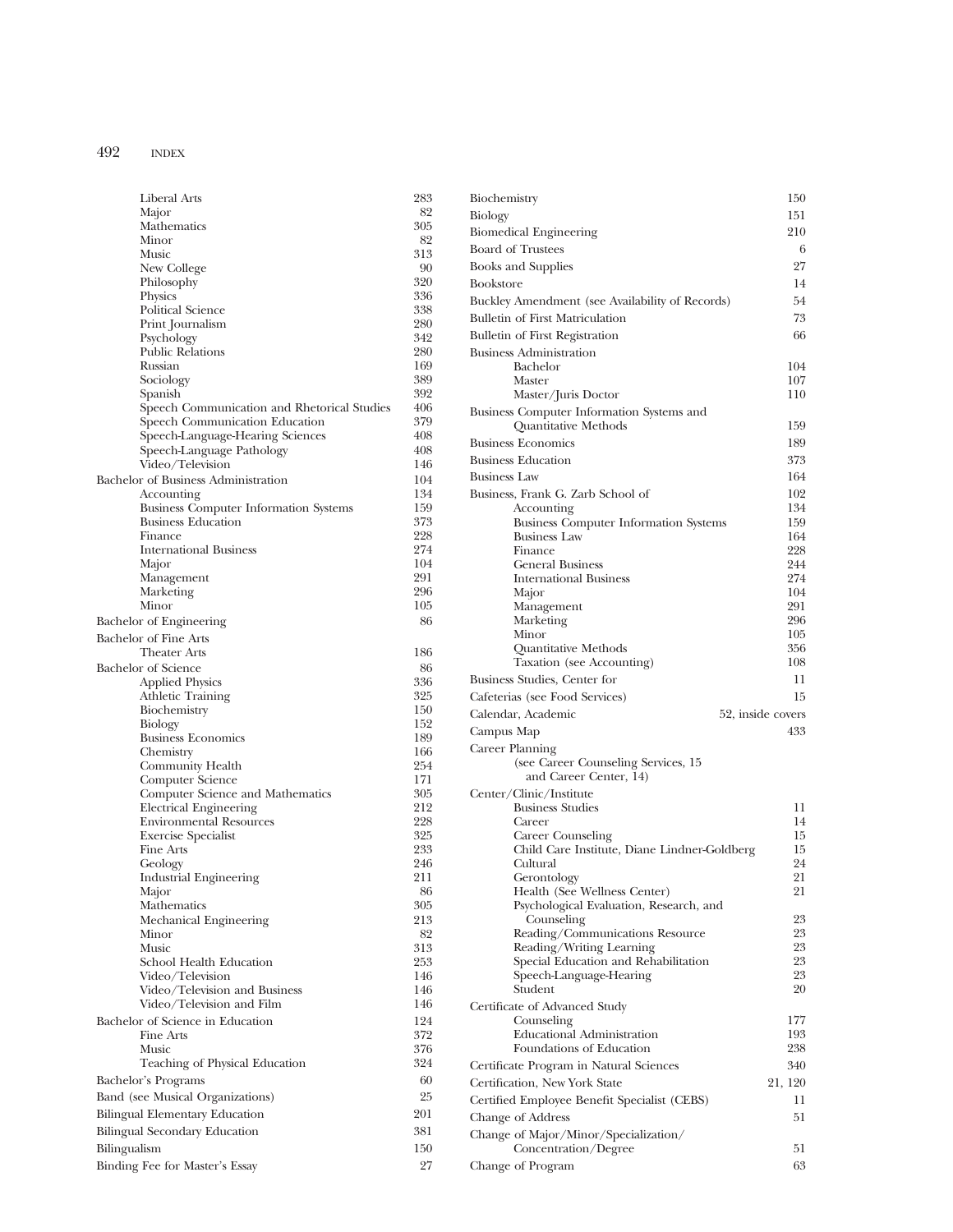| Liberal Arts                                         | 283        |
|------------------------------------------------------|------------|
| Major                                                | 82         |
| Mathematics<br>Minor                                 | 305<br>82  |
| Music                                                | 313        |
| New College                                          | 90         |
| Philosophy                                           | 320        |
| Physics                                              | 336        |
| Political Science                                    | 338        |
| Print Journalism                                     | 280        |
| Psychology<br><b>Public Relations</b>                | 342<br>280 |
| Russian                                              | 169        |
| Sociology                                            | 389        |
| Spanish                                              | 392        |
| Speech Communication and Rhetorical Studies          | 406        |
| Speech Communication Education                       | 379        |
| Speech-Language-Hearing Sciences                     | 408        |
| Speech-Language Pathology                            | 408        |
| Video/Television                                     | 146        |
| Bachelor of Business Administration<br>Accounting    | 104<br>134 |
| <b>Business Computer Information Systems</b>         | 159        |
| <b>Business Education</b>                            | 373        |
| Finance                                              | 228        |
| <b>International Business</b>                        | 274        |
| Major                                                | 104        |
| Management                                           | 291        |
| Marketing                                            | 296        |
| Minor                                                | 105        |
| Bachelor of Engineering                              | 86         |
| Bachelor of Fine Arts<br><b>Theater Arts</b>         | 186        |
| <b>Bachelor</b> of Science                           |            |
| <b>Applied Physics</b>                               | 86<br>336  |
| Athletic Training                                    | 325        |
| Biochemistry                                         | 150        |
| Biology                                              | 152        |
| <b>Business Economics</b>                            | 189        |
| Chemistry                                            | 166        |
| Community Health                                     | 254        |
| Computer Science<br>Computer Science and Mathematics | 171<br>305 |
| <b>Electrical Engineering</b>                        | 212        |
| <b>Environmental Resources</b>                       | 228        |
| <b>Exercise Specialist</b>                           | 325        |
| Fine Arts                                            | 233        |
| Geology                                              | 246        |
| <b>Industrial Engineering</b>                        | 211        |
| Major                                                | 86         |
| Mathematics<br>Mechanical Engineering                | 305<br>213 |
| Minor                                                | 82         |
| Music                                                | 313        |
| School Health Education                              | 253        |
| Video/Television                                     | 146        |
| Video/Television and Business                        | 146        |
| Video/Television and Film                            | 146        |
| Bachelor of Science in Education                     | 124        |
| Fine Arts<br>Music                                   | 372        |
| Teaching of Physical Education                       | 376<br>324 |
|                                                      |            |
| Bachelor's Programs                                  | 60         |
| Band (see Musical Organizations)                     | 25         |
| <b>Bilingual Elementary Education</b>                | 201        |
| Bilingual Secondary Education                        | 381        |
| Bilingualism                                         | 150        |
| Binding Fee for Master's Essay                       | 27         |

| Biochemistry                                                             | 150               |
|--------------------------------------------------------------------------|-------------------|
| Biology                                                                  | 151               |
| <b>Biomedical Engineering</b>                                            | 210               |
| <b>Board of Trustees</b>                                                 | 6                 |
| <b>Books and Supplies</b>                                                | 27                |
| <b>Bookstore</b>                                                         | 14                |
| Buckley Amendment (see Availability of Records)                          | 54                |
| <b>Bulletin of First Matriculation</b>                                   | 73                |
| Bulletin of First Registration                                           | 66                |
| <b>Business Administration</b><br>Bachelor                               | 104               |
| Master                                                                   | 107               |
| Master/Juris Doctor                                                      | 110               |
| Business Computer Information Systems and                                |                   |
| Quantitative Methods                                                     | 159               |
| <b>Business Economics</b>                                                | 189               |
| <b>Business Education</b>                                                | 373               |
| <b>Business Law</b><br>Business, Frank G. Zarb School of                 | 164<br>102        |
| Accounting                                                               | 134               |
| <b>Business Computer Information Systems</b>                             | 159               |
| <b>Business Law</b>                                                      | 164               |
| Finance<br><b>General Business</b>                                       | 228<br>244        |
| <b>International Business</b>                                            | 274               |
| Major                                                                    | 104               |
| Management                                                               | 291               |
| Marketing<br>Minor                                                       | 296<br>105        |
| Quantitative Methods                                                     | 356               |
| Taxation (see Accounting)                                                | 108               |
| Business Studies, Center for                                             | 11                |
| Cafeterias (see Food Services)                                           | 15                |
| Calendar, Academic                                                       | 52, inside covers |
| Campus Map                                                               | 433               |
| Career Planning                                                          |                   |
| (see Career Counseling Services, 15<br>and Career Center, 14)            |                   |
| Center/Clinic/Institute                                                  |                   |
| <b>Business Studies</b>                                                  | 11                |
| Career                                                                   | 14                |
| <b>Career Counseling</b><br>Child Care Institute, Diane Lindner-Goldberg | 15<br>15          |
| Cultural                                                                 | 24                |
| Gerontology                                                              | 21                |
| Health (See Wellness Center)                                             | 21                |
| Psychological Evaluation, Research, and<br>Counseling                    | 23                |
| Reading/Communications Resource                                          | 23                |
| Reading/Writing Learning                                                 | 23                |
| Special Education and Rehabilitation<br>Speech-Language-Hearing          | 23<br>23          |
| Student                                                                  | 20                |
| Certificate of Advanced Study                                            |                   |
| Counseling                                                               | 177               |
| <b>Educational Administration</b><br>Foundations of Education            | 193<br>238        |
| Certificate Program in Natural Sciences                                  | 340               |
| Certification, New York State                                            | 21, 120           |
| Certified Employee Benefit Specialist (CEBS)                             | 11                |
| Change of Address                                                        |                   |
|                                                                          | 51                |
|                                                                          |                   |
| Change of Major/Minor/Specialization/<br>Concentration/Degree            | 51                |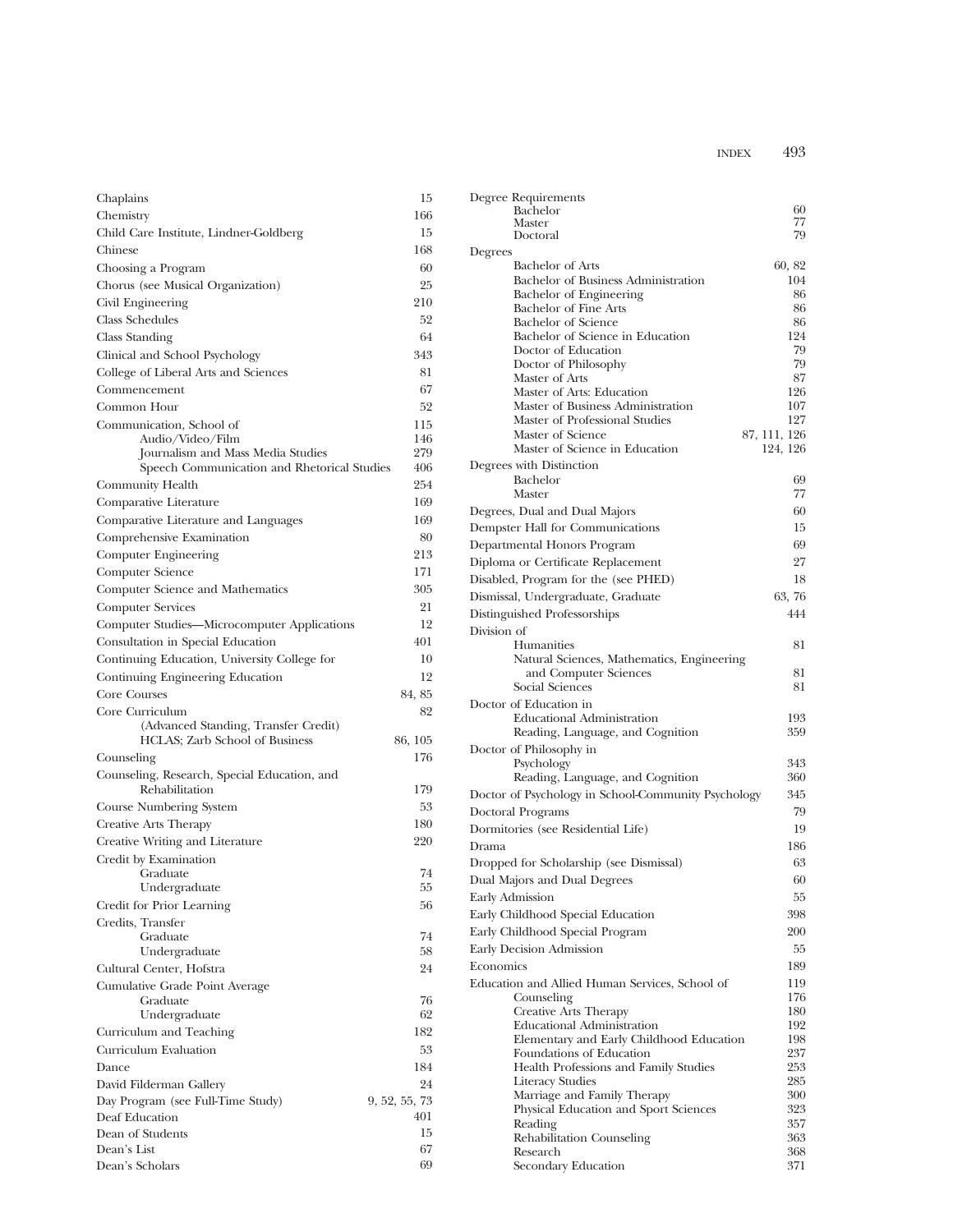| Chaplains                                               | 15            |
|---------------------------------------------------------|---------------|
| Chemistry                                               | 166           |
| Child Care Institute, Lindner-Goldberg                  | 15            |
| Chinese                                                 | 168           |
| Choosing a Program                                      | 60            |
| Chorus (see Musical Organization)                       | 25            |
| Civil Engineering                                       | 210           |
| <b>Class Schedules</b>                                  | 52            |
| <b>Class Standing</b>                                   | 64            |
| Clinical and School Psychology                          | 343           |
| College of Liberal Arts and Sciences                    | 81            |
| Commencement                                            | 67            |
| Common Hour                                             | 52            |
| Communication, School of                                | 115           |
| Audio/Video/Film                                        | 146           |
| Journalism and Mass Media Studies                       | 279           |
| Speech Communication and Rhetorical Studies             | 406           |
| Community Health                                        | 254           |
| Comparative Literature                                  | 169           |
| Comparative Literature and Languages                    | 169           |
| Comprehensive Examination                               | 80            |
| Computer Engineering                                    | 213           |
| Computer Science                                        | 171           |
| Computer Science and Mathematics                        | 305           |
| <b>Computer Services</b>                                | 21            |
| Computer Studies-Microcomputer Applications             | 12            |
| Consultation in Special Education                       | 401           |
| Continuing Education, University College for            | 10            |
|                                                         | 12            |
| Continuing Engineering Education                        |               |
| Core Courses                                            | 84, 85        |
| Core Curriculum<br>(Advanced Standing, Transfer Credit) | 82            |
| HCLAS; Zarb School of Business                          | 86, 105       |
| Counseling                                              | 176           |
| Counseling, Research, Special Education, and            |               |
| Rehabilitation                                          | 179           |
| Course Numbering System                                 | 53            |
| Creative Arts Therapy                                   | 180           |
| Creative Writing and Literature                         | 220           |
| Credit by Examination                                   |               |
| Graduate                                                | 74            |
| Undergraduate                                           | 55            |
| Credit for Prior Learning                               | 56            |
| Credits, Transfer                                       |               |
| Graduate                                                | 74            |
| Undergraduate                                           | 58            |
| Cultural Center, Hofstra                                | 24            |
| Cumulative Grade Point Average                          |               |
| Graduate                                                | 76            |
| Undergraduate                                           | 62            |
| Curriculum and Teaching                                 | 182           |
| Curriculum Evaluation                                   | 53            |
| Dance                                                   | 184           |
| David Filderman Gallery                                 | 24            |
| Day Program (see Full-Time Study)                       | 9, 52, 55, 73 |
| Deaf Education                                          | 401           |
| Dean of Students                                        | 15            |
| Dean's List                                             | 67            |
| Dean's Scholars                                         | 69            |

| Degree Requirements<br><b>Bachelor</b><br>Master<br>Doctoral         | 60<br>77<br>79 |
|----------------------------------------------------------------------|----------------|
| Degrees                                                              |                |
| Bachelor of Arts                                                     | 60, 82         |
| Bachelor of Business Administration                                  | 104            |
| Bachelor of Engineering<br><b>Bachelor of Fine Arts</b>              | 86<br>86       |
| <b>Bachelor of Science</b>                                           | 86             |
| Bachelor of Science in Education                                     | 124            |
| Doctor of Education                                                  | 79             |
| Doctor of Philosophy                                                 | 79             |
| Master of Arts                                                       | 87             |
| Master of Arts: Education<br>Master of Business Administration       | 126<br>107     |
| Master of Professional Studies                                       | 127            |
| Master of Science                                                    | 87, 111, 126   |
| Master of Science in Education                                       | 124, 126       |
| Degrees with Distinction                                             |                |
| <b>Bachelor</b>                                                      | 69             |
| Master                                                               | 77             |
| Degrees, Dual and Dual Majors                                        | 60             |
| Dempster Hall for Communications                                     | 15             |
| Departmental Honors Program                                          | 69             |
| Diploma or Certificate Replacement                                   | 27             |
| Disabled, Program for the (see PHED)                                 | 18             |
| Dismissal, Undergraduate, Graduate                                   | 63, 76         |
| Distinguished Professorships                                         | 444            |
| Division of                                                          |                |
| <b>Humanities</b><br>Natural Sciences, Mathematics, Engineering      | 81             |
| and Computer Sciences                                                | 81             |
| Social Sciences                                                      | 81             |
| Doctor of Education in                                               |                |
| <b>Educational Administration</b>                                    | 193            |
| Reading, Language, and Cognition                                     | 359            |
| Doctor of Philosophy in                                              |                |
| Psychology                                                           | 343            |
| Reading, Language, and Cognition                                     | 360            |
| Doctor of Psychology in School-Community Psychology                  | 345            |
| Doctoral Programs                                                    | 79             |
| Dormitories (see Residential Life)                                   | 19             |
| Drama                                                                | 186            |
| Dropped for Scholarship (see Dismissal)                              | 63             |
| Dual Majors and Dual Degrees                                         | 60             |
| Early Admission                                                      | 55             |
| Early Childhood Special Education                                    | 398            |
| Early Childhood Special Program                                      | 200            |
| Early Decision Admission                                             | 55             |
| Economics                                                            | 189            |
| Education and Allied Human Services, School of                       | 119            |
| Counseling                                                           | 176            |
| Creative Arts Therapy                                                | 180            |
| <b>Educational Administration</b>                                    | 192<br>198     |
| Elementary and Early Childhood Education<br>Foundations of Education | 237            |
| Health Professions and Family Studies                                | 253            |
| Literacy Studies                                                     | 285            |
| Marriage and Family Therapy                                          | 300            |
| Physical Education and Sport Sciences                                | 323            |
| Reading                                                              | 357            |
| Rehabilitation Counseling<br>Research                                | 363<br>368     |
| Secondary Education                                                  | 371            |
|                                                                      |                |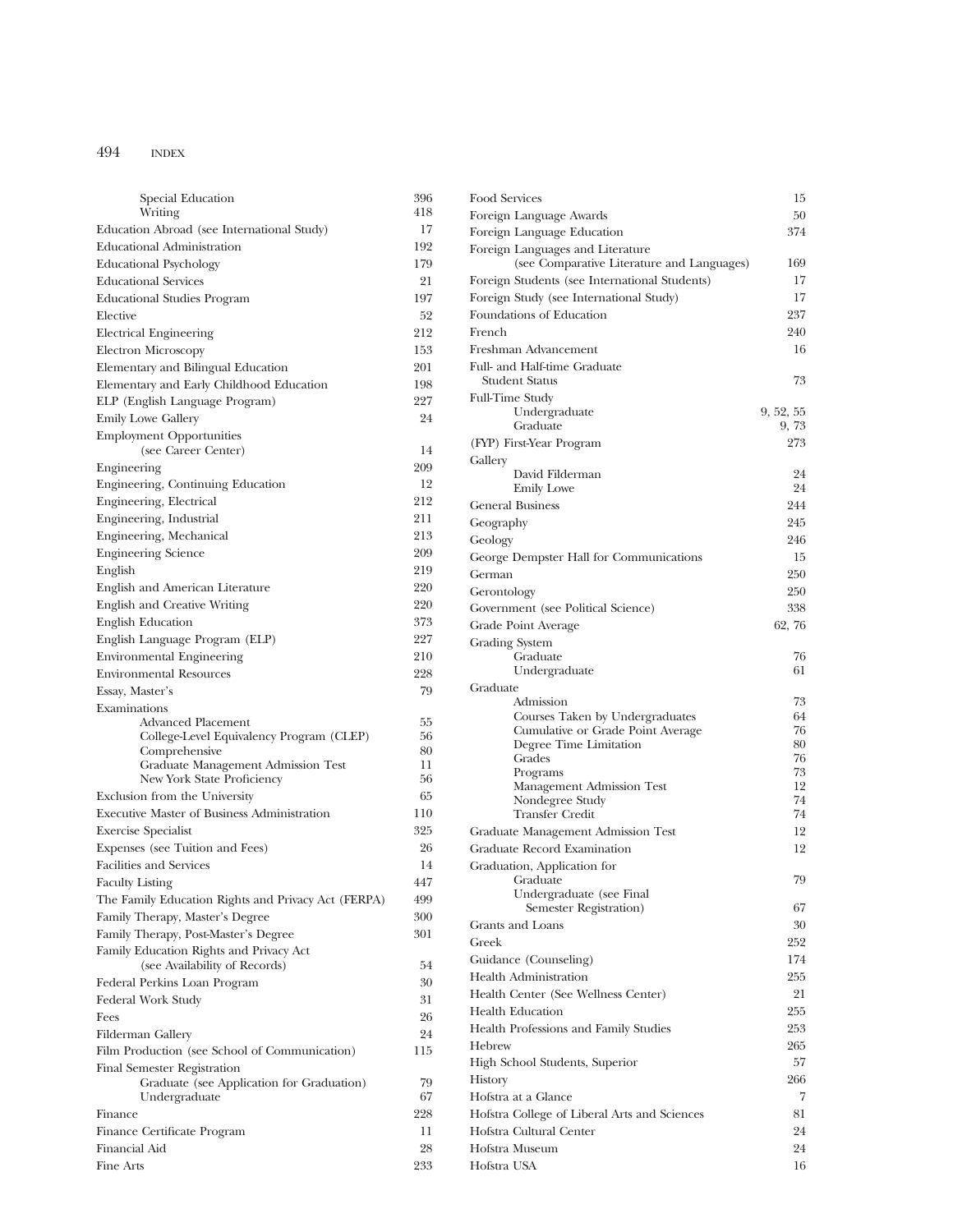| Special Education                                                        | 396       |
|--------------------------------------------------------------------------|-----------|
| Writing                                                                  | 418       |
| Education Abroad (see International Study)                               | 17        |
| <b>Educational Administration</b>                                        | 192       |
| <b>Educational Psychology</b><br><b>Educational Services</b>             | 179<br>21 |
| <b>Educational Studies Program</b>                                       | 197       |
| Elective                                                                 | 52        |
| <b>Electrical Engineering</b>                                            | 212       |
| Electron Microscopy                                                      | 153       |
| Elementary and Bilingual Education                                       | 201       |
| Elementary and Early Childhood Education                                 | 198       |
| ELP (English Language Program)                                           | 227       |
| <b>Emily Lowe Gallery</b>                                                | 24        |
| <b>Employment Opportunities</b><br>(see Career Center)                   | 14        |
| Engineering                                                              | 209       |
| Engineering, Continuing Education                                        | 12        |
| Engineering, Electrical                                                  | 212       |
| Engineering, Industrial                                                  | 211       |
| Engineering, Mechanical                                                  | 213       |
| <b>Engineering Science</b>                                               | 209       |
| English                                                                  | 219       |
| English and American Literature                                          | 220       |
| English and Creative Writing                                             | 220       |
| <b>English Education</b>                                                 | 373       |
| English Language Program (ELP)                                           | 227       |
| <b>Environmental Engineering</b>                                         | 210       |
| <b>Environmental Resources</b>                                           | 228       |
| Essay, Master's                                                          | 79        |
| Examinations                                                             |           |
| <b>Advanced Placement</b>                                                | 55        |
| College-Level Equivalency Program (CLEP)                                 | 56        |
| Comprehensive<br>Graduate Management Admission Test                      | 80<br>11  |
| New York State Proficiency                                               | 56        |
|                                                                          | 65        |
| Exclusion from the University                                            | 110       |
| <b>Executive Master of Business Administration</b>                       | 325       |
| <b>Exercise Specialist</b>                                               |           |
| Expenses (see Tuition and Fees)                                          | 26        |
| <b>Facilities and Services</b>                                           | 14        |
| <b>Faculty Listing</b>                                                   | 447       |
| The Family Education Rights and Privacy Act (FERPA)                      | 499       |
| Family Therapy, Master's Degree                                          | 300       |
| Family Therapy, Post-Master's Degree                                     | 301       |
| Family Education Rights and Privacy Act<br>(see Availability of Records) | 54        |
| Federal Perkins Loan Program                                             | 30        |
|                                                                          | 31        |
| Federal Work Study<br>Fees                                               | 26        |
| Filderman Gallery                                                        | 24        |
| Film Production (see School of Communication)                            | 115       |
| Final Semester Registration<br>Graduate (see Application for Graduation) | 79        |
| Undergraduate                                                            | 67        |
| Finance                                                                  | 228       |
| Finance Certificate Program                                              | 11        |
| Financial Aid<br>Fine Arts                                               | 28<br>233 |

| Food Services                                                                  | 15        |
|--------------------------------------------------------------------------------|-----------|
| Foreign Language Awards                                                        | 50        |
| Foreign Language Education                                                     | 374       |
| Foreign Languages and Literature<br>(see Comparative Literature and Languages) | 169       |
| Foreign Students (see International Students)                                  | 17        |
| Foreign Study (see International Study)                                        | 17        |
| Foundations of Education                                                       | 237       |
| French                                                                         | 240       |
| Freshman Advancement                                                           | 16        |
| Full- and Half-time Graduate<br><b>Student Status</b>                          | 73        |
| <b>Full-Time Study</b>                                                         |           |
| Undergraduate                                                                  | 9, 52, 55 |
| Graduate                                                                       | 9, 73     |
| (FYP) First-Year Program                                                       | 273       |
| Gallery<br>David Filderman                                                     | 24        |
| <b>Emily Lowe</b>                                                              | 24        |
| <b>General Business</b>                                                        | 244       |
| Geography                                                                      | 245       |
| Geology                                                                        | 246       |
| George Dempster Hall for Communications                                        | 15        |
| German                                                                         | 250       |
| Gerontology                                                                    | 250       |
| Government (see Political Science)                                             | 338       |
| Grade Point Average                                                            | 62, 76    |
|                                                                                |           |
| Grading System<br>Graduate                                                     | 76        |
| Undergraduate                                                                  | 61        |
| Graduate                                                                       |           |
| Admission                                                                      | 73        |
| Courses Taken by Undergraduates                                                | 64        |
| Cumulative or Grade Point Average<br>Degree Time Limitation                    | 76<br>80  |
| Grades                                                                         | 76        |
| Programs                                                                       | 73        |
| Management Admission Test                                                      | 12        |
| Nondegree Study<br><b>Transfer Credit</b>                                      | 74<br>74  |
|                                                                                |           |
| Graduate Management Admission Test                                             | 12<br>12  |
| Graduate Record Examination                                                    |           |
| Graduation, Application for<br>Graduate                                        | 79        |
| Undergraduate (see Final                                                       |           |
| Semester Registration)                                                         | 67        |
| Grants and Loans                                                               | 30        |
| Greek                                                                          | 252       |
| Guidance (Counseling)                                                          | 174       |
| <b>Health Administration</b>                                                   | 255       |
| Health Center (See Wellness Center)                                            | 21        |
| Health Education                                                               | 255       |
| Health Professions and Family Studies                                          | 253       |
| Hebrew                                                                         | 265       |
| High School Students, Superior                                                 | 57        |
| History                                                                        | 266       |
| Hofstra at a Glance                                                            | 7         |
| Hofstra College of Liberal Arts and Sciences                                   | 81        |
| Hofstra Cultural Center                                                        | 24        |
| Hofstra Museum                                                                 | 24        |
| Hofstra USA                                                                    | 16        |
|                                                                                |           |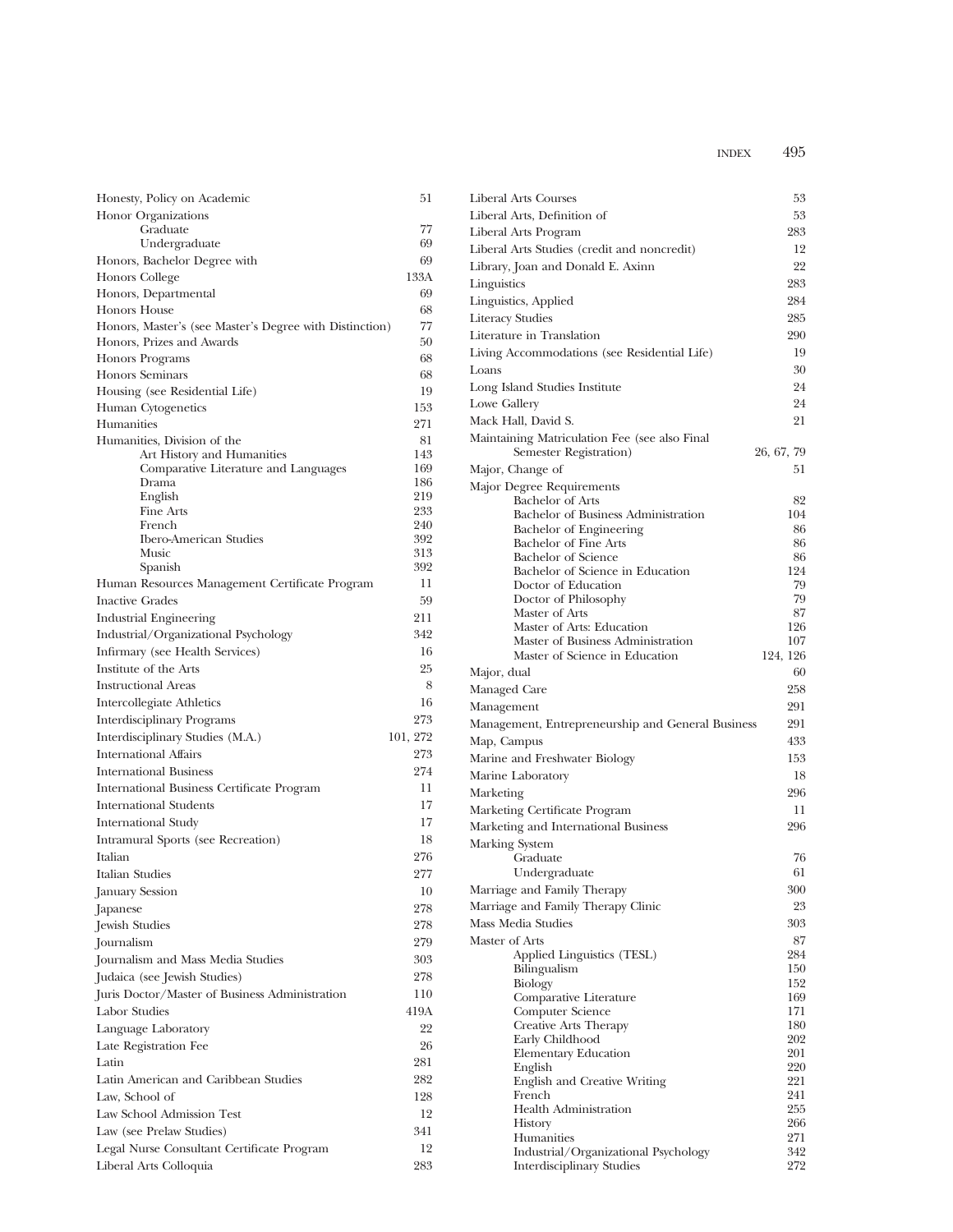| Honesty, Policy on Academic                               | 51         |
|-----------------------------------------------------------|------------|
| Honor Organizations                                       |            |
| Graduate                                                  | 77         |
| Undergraduate                                             | 69         |
| Honors, Bachelor Degree with                              | 69         |
| Honors College                                            | 133A       |
| Honors, Departmental                                      | 69         |
| Honors House                                              | 68         |
| Honors, Master's (see Master's Degree with Distinction)   | 77         |
| Honors, Prizes and Awards                                 | 50         |
| Honors Programs                                           | 68         |
| <b>Honors Seminars</b>                                    | 68         |
| Housing (see Residential Life)                            | 19         |
| Human Cytogenetics                                        | 153        |
| Humanities                                                | 271<br>81  |
| Humanities, Division of the<br>Art History and Humanities | 143        |
| Comparative Literature and Languages                      | 169        |
| Drama                                                     | 186        |
| English                                                   | 219        |
| Fine Arts                                                 | 233        |
| French<br><b>Ibero-American Studies</b>                   | 240<br>392 |
| Music                                                     | 313        |
| Spanish                                                   | 392        |
| Human Resources Management Certificate Program            | 11         |
| <b>Inactive Grades</b>                                    | 59         |
| Industrial Engineering                                    | 211        |
| Industrial/Organizational Psychology                      | 342        |
| Infirmary (see Health Services)                           | 16         |
| Institute of the Arts                                     | 25         |
| <b>Instructional Areas</b>                                | 8          |
| Intercollegiate Athletics                                 | 16         |
| Interdisciplinary Programs                                | 273        |
| Interdisciplinary Studies (M.A.)                          | 101, 272   |
| <b>International Affairs</b>                              | 273        |
| <b>International Business</b>                             | 274        |
| International Business Certificate Program                | 11         |
| <b>International Students</b>                             | 17         |
| <b>International Study</b>                                | 17         |
| Intramural Sports (see Recreation)                        | 18         |
| Italian                                                   | 276        |
| Italian Studies                                           | 277        |
| January Session                                           | 10         |
| Japanese                                                  | 278        |
| Jewish Studies                                            | 278        |
| Journalism                                                | 279        |
| Journalism and Mass Media Studies                         | 303        |
| Judaica (see Jewish Studies)                              | 278        |
| Juris Doctor/Master of Business Administration            | 110        |
| Labor Studies                                             | 419A       |
|                                                           | 22         |
| Language Laboratory                                       | 26         |
| Late Registration Fee                                     |            |
| Latin                                                     | 281        |
| Latin American and Caribbean Studies                      | 282        |
| Law, School of                                            | 128        |
| Law School Admission Test                                 | 12         |
| Law (see Prelaw Studies)                                  | 341        |
| Legal Nurse Consultant Certificate Program                | 12         |
| Liberal Arts Colloquia                                    | 283        |

| Liberal Arts Courses                                           | 53         |
|----------------------------------------------------------------|------------|
| Liberal Arts, Definition of                                    | 53         |
| Liberal Arts Program                                           | 283        |
| Liberal Arts Studies (credit and noncredit)                    | 12         |
| Library, Joan and Donald E. Axinn                              | 22         |
| Linguistics                                                    | 283        |
| Linguistics, Applied                                           | 284        |
| Literacy Studies                                               | 285        |
| Literature in Translation                                      | 290        |
| Living Accommodations (see Residential Life)                   | 19         |
| Loans                                                          | 30         |
| Long Island Studies Institute                                  | 24         |
| Lowe Gallery                                                   | 24         |
| Mack Hall, David S.                                            | 21         |
| Maintaining Matriculation Fee (see also Final                  |            |
| Semester Registration)                                         | 26, 67, 79 |
| Major, Change of                                               | 51         |
| Major Degree Requirements                                      |            |
| <b>Bachelor</b> of Arts                                        | 82         |
| Bachelor of Business Administration<br>Bachelor of Engineering | 104<br>86  |
| <b>Bachelor of Fine Arts</b>                                   | 86         |
| <b>Bachelor</b> of Science                                     | 86         |
| Bachelor of Science in Education                               | 124        |
| Doctor of Education                                            | 79         |
| Doctor of Philosophy<br>Master of Arts                         | 79<br>87   |
| Master of Arts: Education                                      | 126        |
| Master of Business Administration                              | 107        |
| Master of Science in Education                                 | 124, 126   |
| Major, dual                                                    | 60         |
| Managed Care                                                   | 258        |
| Management                                                     | 291        |
| Management, Entrepreneurship and General Business              | 291        |
| Map, Campus                                                    | 433        |
| Marine and Freshwater Biology                                  | 153        |
| Marine Laboratory                                              | 18         |
| Marketing                                                      | 296        |
| Marketing Certificate Program                                  | 11         |
| Marketing and International Business                           | 296        |
| Marking System                                                 |            |
| Graduate<br>Undergraduate                                      | 76<br>61   |
| Marriage and Family Therapy                                    | 300        |
| Marriage and Family Therapy Clinic                             | 23         |
| Mass Media Studies                                             | 303        |
| Master of Arts                                                 | 87         |
| Applied Linguistics (TESL)                                     | 284        |
| Bilingualism                                                   | 150        |
| Biology                                                        | 152        |
| Comparative Literature<br>Computer Science                     | 169<br>171 |
| <b>Creative Arts Therapy</b>                                   | 180        |
| Early Childhood                                                | 202        |
| <b>Elementary Education</b>                                    | 201        |
| English                                                        | 220        |
| English and Creative Writing<br>French                         | 221<br>241 |
| <b>Health Administration</b>                                   | 255        |
| History                                                        | 266        |
| Humanities                                                     | 271        |
| Industrial/Organizational Psychology                           | 342<br>272 |
| <b>Interdisciplinary Studies</b>                               |            |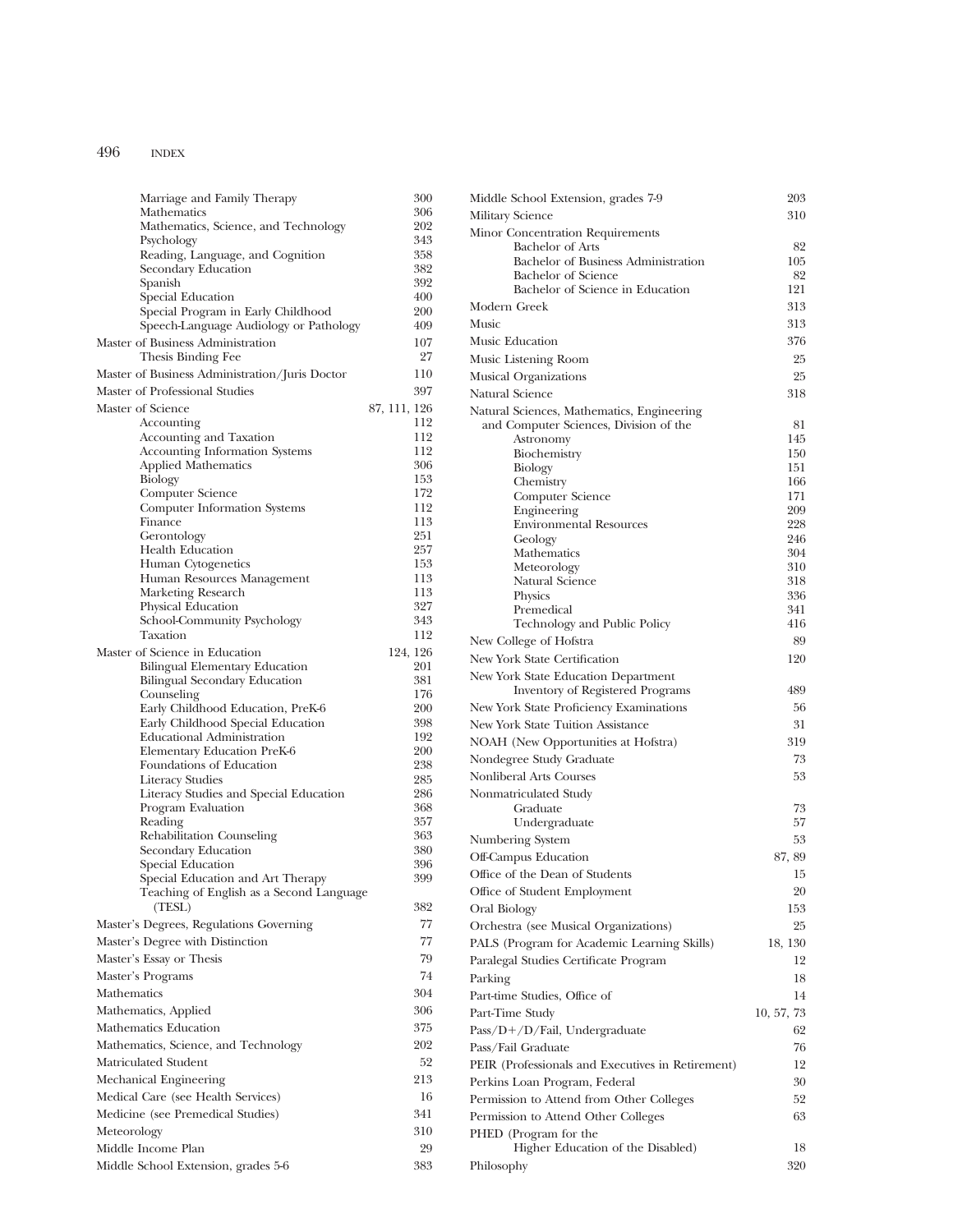| Marriage and Family Therapy                                      | 300          |
|------------------------------------------------------------------|--------------|
| Mathematics                                                      | 306          |
| Mathematics, Science, and Technology                             | 202          |
| Psychology                                                       | 343<br>358   |
| Reading, Language, and Cognition<br>Secondary Education          | 382          |
| Spanish                                                          | 392          |
| Special Education                                                | 400          |
| Special Program in Early Childhood                               | 200          |
| Speech-Language Audiology or Pathology                           | 409          |
| Master of Business Administration                                | 107          |
| Thesis Binding Fee                                               | 27           |
| Master of Business Administration/Juris Doctor                   | 110          |
| Master of Professional Studies                                   | 397          |
| Master of Science                                                | 87, 111, 126 |
| Accounting                                                       | 112          |
| Accounting and Taxation<br><b>Accounting Information Systems</b> | 112<br>112   |
| <b>Applied Mathematics</b>                                       | 306          |
| Biology                                                          | 153          |
| Computer Science                                                 | 172          |
| <b>Computer Information Systems</b>                              | 112          |
| Finance                                                          | 113          |
| Gerontology                                                      | 251          |
| <b>Health Education</b>                                          | 257          |
| Human Cytogenetics                                               | 153<br>113   |
| Human Resources Management<br>Marketing Research                 | 113          |
| Physical Education                                               | 327          |
| School-Community Psychology                                      | 343          |
| Taxation                                                         | 112          |
| Master of Science in Education                                   | 124, 126     |
| <b>Bilingual Elementary Education</b>                            | 201          |
| <b>Bilingual Secondary Education</b>                             | 381          |
| Counseling                                                       | 176          |
| Early Childhood Education, PreK-6                                | 200          |
| Early Childhood Special Education                                | 398<br>192   |
| <b>Educational Administration</b><br>Elementary Education PreK-6 | 200          |
| Foundations of Education                                         | 238          |
| <b>Literacy Studies</b>                                          | 285          |
| Literacy Studies and Special Education                           | 286          |
| Program Evaluation                                               | 368          |
| Reading                                                          | 357          |
| Rehabilitation Counseling                                        | 363          |
| Secondary Education                                              | 380          |
| Special Education<br>Special Education and Art Therapy           | 396<br>399   |
| Teaching of English as a Second Language                         |              |
| (TESL)                                                           | 382          |
| Master's Degrees, Regulations Governing                          | 77           |
| Master's Degree with Distinction                                 | 77           |
| Master's Essay or Thesis                                         | 79           |
| Master's Programs                                                | 74           |
|                                                                  |              |
| Mathematics                                                      | 304          |
| Mathematics, Applied                                             | 306          |
| Mathematics Education                                            | 375          |
| Mathematics, Science, and Technology                             | 202          |
| Matriculated Student                                             | 52           |
| Mechanical Engineering                                           | 213          |
| Medical Care (see Health Services)                               | 16           |
| Medicine (see Premedical Studies)                                | 341          |
| Meteorology                                                      | 310          |
| Middle Income Plan                                               | 29           |
| Middle School Extension, grades 5-6                              | 383          |
|                                                                  |              |

| Middle School Extension, grades 7-9                                                  | 203        |
|--------------------------------------------------------------------------------------|------------|
| Military Science                                                                     | 310        |
| Minor Concentration Requirements                                                     |            |
| <b>Bachelor of Arts</b>                                                              | 82         |
| Bachelor of Business Administration                                                  | 105        |
| Bachelor of Science<br>Bachelor of Science in Education                              | 82<br>121  |
| Modern Greek                                                                         | 313        |
| Music                                                                                | 313        |
|                                                                                      |            |
| Music Education                                                                      | 376        |
| Music Listening Room                                                                 | 25         |
| Musical Organizations                                                                | 25         |
| Natural Science                                                                      | 318        |
| Natural Sciences, Mathematics, Engineering<br>and Computer Sciences, Division of the | 81         |
| Astronomy                                                                            | 145        |
| Biochemistry                                                                         | 150        |
| Biology                                                                              | 151        |
| Chemistry                                                                            | 166        |
| Computer Science                                                                     | 171        |
| Engineering<br><b>Environmental Resources</b>                                        | 209<br>228 |
| Geology                                                                              | 246        |
| Mathematics                                                                          | 304        |
| Meteorology                                                                          | 310        |
| Natural Science                                                                      | 318        |
| Physics                                                                              | 336        |
| Premedical<br>Technology and Public Policy                                           | 341<br>416 |
| New College of Hofstra                                                               | 89         |
| New York State Certification                                                         | 120        |
|                                                                                      |            |
| New York State Education Department<br><b>Inventory of Registered Programs</b>       | 489        |
| New York State Proficiency Examinations                                              | 56         |
| New York State Tuition Assistance                                                    | 31         |
| NOAH (New Opportunities at Hofstra)                                                  | 319        |
| Nondegree Study Graduate                                                             | 73         |
| Nonliberal Arts Courses                                                              | 53         |
| Nonmatriculated Study                                                                |            |
| Graduate                                                                             | 73         |
| Undergraduate                                                                        | 57         |
| Numbering System                                                                     | 53         |
| Off-Campus Education                                                                 | 87, 89     |
| Office of the Dean of Students                                                       | 15         |
| Office of Student Employment                                                         | 20         |
| Oral Biology                                                                         | 153        |
| Orchestra (see Musical Organizations)                                                | 25         |
| PALS (Program for Academic Learning Skills)                                          | 18, 130    |
| Paralegal Studies Certificate Program                                                | 12         |
| Parking                                                                              | 18         |
| Part-time Studies, Office of                                                         | 14         |
| Part-Time Study                                                                      | 10, 57, 73 |
| Pass/D+/D/Fail, Undergraduate                                                        | 62         |
| Pass/Fail Graduate                                                                   | 76         |
| PEIR (Professionals and Executives in Retirement)                                    | 12         |
| Perkins Loan Program, Federal                                                        | 30         |
| Permission to Attend from Other Colleges                                             | 52         |
| Permission to Attend Other Colleges                                                  | 63         |
| PHED (Program for the                                                                |            |
| Higher Education of the Disabled)                                                    | 18         |
| Philosophy                                                                           | 320        |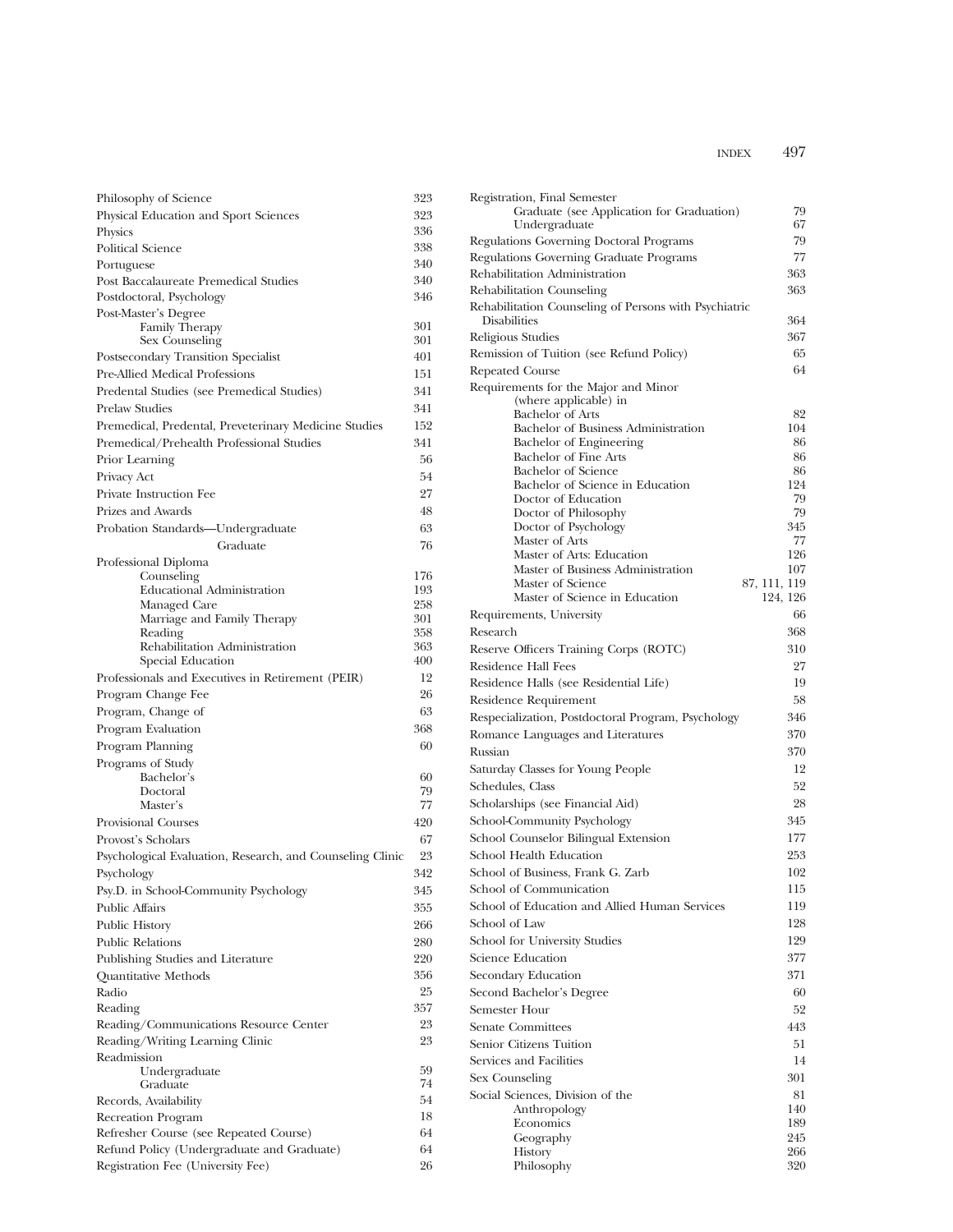| Philosophy of Science                                     | 323        |
|-----------------------------------------------------------|------------|
| Physical Education and Sport Sciences                     | 323        |
| Physics                                                   | 336        |
| <b>Political Science</b>                                  | 338        |
| Portuguese                                                | 340        |
| Post Baccalaureate Premedical Studies                     | 340        |
| Postdoctoral, Psychology                                  | 346        |
| Post-Master's Degree                                      |            |
| <b>Family Therapy</b><br>Sex Counseling                   | 301<br>301 |
| Postsecondary Transition Specialist                       | 401        |
| <b>Pre-Allied Medical Professions</b>                     | 151        |
| Predental Studies (see Premedical Studies)                | 341        |
| <b>Prelaw Studies</b>                                     | 341        |
| Premedical, Predental, Preveterinary Medicine Studies     | 152        |
| Premedical/Prehealth Professional Studies                 | 341        |
| Prior Learning                                            | 56         |
| Privacy Act                                               | 54         |
| Private Instruction Fee                                   | 27         |
| Prizes and Awards                                         | 48         |
|                                                           | 63         |
| Probation Standards-Undergraduate                         | 76         |
| Graduate                                                  |            |
| Professional Diploma<br>Counseling                        | 176        |
| <b>Educational Administration</b>                         | 193        |
| Managed Care                                              | 258        |
| Marriage and Family Therapy                               | 301        |
| Reading                                                   | 358        |
| Rehabilitation Administration<br>Special Education        | 363<br>400 |
| Professionals and Executives in Retirement (PEIR)         | 12         |
| Program Change Fee                                        | 26         |
| Program, Change of                                        | 63         |
| Program Evaluation                                        | 368        |
| Program Planning                                          | 60         |
| Programs of Study                                         |            |
| Bachelor's                                                | 60         |
| Doctoral                                                  | 79         |
| Master's                                                  | 77         |
| <b>Provisional Courses</b>                                | 420        |
| Provost's Scholars                                        | 67         |
| Psychological Evaluation, Research, and Counseling Clinic | 23         |
| Psychology                                                | 342        |
| Psy.D. in School-Community Psychology                     | 345        |
| <b>Public Affairs</b>                                     | 355        |
| Public History                                            | 266        |
| <b>Public Relations</b>                                   | 280        |
| Publishing Studies and Literature                         | 220        |
| Quantitative Methods                                      | 356        |
| Radio                                                     | 25         |
| Reading                                                   | 357        |
| Reading/Communications Resource Center                    | 23         |
| Reading/Writing Learning Clinic                           | 23         |
| Readmission                                               |            |
| Undergraduate                                             | 59<br>74   |
| Graduate<br>Records, Availability                         | 54         |
| Recreation Program                                        | 18         |
| Refresher Course (see Repeated Course)                    | 64         |
| Refund Policy (Undergraduate and Graduate)                | 64         |
| Registration Fee (University Fee)                         | 26         |
|                                                           |            |

| Registration, Final Semester<br>Graduate (see Application for Graduation)<br>Undergraduate | 79<br>67                 |
|--------------------------------------------------------------------------------------------|--------------------------|
| Regulations Governing Doctoral Programs                                                    | 79                       |
| Regulations Governing Graduate Programs                                                    | 77                       |
| Rehabilitation Administration                                                              | 363                      |
| Rehabilitation Counseling                                                                  | 363                      |
| Rehabilitation Counseling of Persons with Psychiatric                                      |                          |
| <b>Disabilities</b>                                                                        | 364                      |
| Religious Studies                                                                          | 367                      |
| Remission of Tuition (see Refund Policy)                                                   | 65                       |
| <b>Repeated Course</b>                                                                     | 64                       |
| Requirements for the Major and Minor<br>(where applicable) in<br><b>Bachelor of Arts</b>   | 82                       |
| Bachelor of Business Administration                                                        | 104                      |
| Bachelor of Engineering                                                                    | 86                       |
| Bachelor of Fine Arts                                                                      | 86                       |
| <b>Bachelor</b> of Science                                                                 | 86                       |
| Bachelor of Science in Education                                                           | 124<br>79                |
| Doctor of Education<br>Doctor of Philosophy                                                | 79                       |
| Doctor of Psychology                                                                       | 345                      |
| Master of Arts                                                                             | 77                       |
| Master of Arts: Education                                                                  | 126                      |
| Master of Business Administration<br>Master of Science                                     | 107                      |
| Master of Science in Education                                                             | 87, 111, 119<br>124, 126 |
| Requirements, University                                                                   | 66                       |
| Research                                                                                   | 368                      |
| Reserve Officers Training Corps (ROTC)                                                     | 310                      |
| Residence Hall Fees                                                                        | 27                       |
| Residence Halls (see Residential Life)                                                     | 19                       |
| Residence Requirement                                                                      | 58                       |
| Respecialization, Postdoctoral Program, Psychology                                         | 346                      |
| Romance Languages and Literatures                                                          | 370                      |
| Russian                                                                                    | 370                      |
| Saturday Classes for Young People                                                          | 12                       |
| Schedules, Class                                                                           | 52                       |
| Scholarships (see Financial Aid)                                                           | 28                       |
| School-Community Psychology                                                                | 345                      |
| School Counselor Bilingual Extension                                                       | 177                      |
| School Health Education                                                                    | 253                      |
| School of Business, Frank G. Zarb                                                          | 102                      |
|                                                                                            | 115                      |
| School of Communication<br>School of Education and Allied Human Services                   | 119                      |
| School of Law                                                                              | 128                      |
|                                                                                            | 129                      |
| School for University Studies<br>Science Education                                         | 377                      |
|                                                                                            |                          |
| Secondary Education                                                                        | 371                      |
| Second Bachelor's Degree                                                                   | 60                       |
| Semester Hour                                                                              | 52                       |
| <b>Senate Committees</b>                                                                   | 443                      |
| Senior Citizens Tuition                                                                    | 51                       |
| Services and Facilities                                                                    | 14                       |
| Sex Counseling                                                                             | 301                      |
| Social Sciences, Division of the                                                           | 81                       |
| Anthropology<br>Economics                                                                  | 140<br>189               |
| Geography                                                                                  | 245                      |
| History                                                                                    | 266                      |
| Philosophy                                                                                 | 320                      |
|                                                                                            |                          |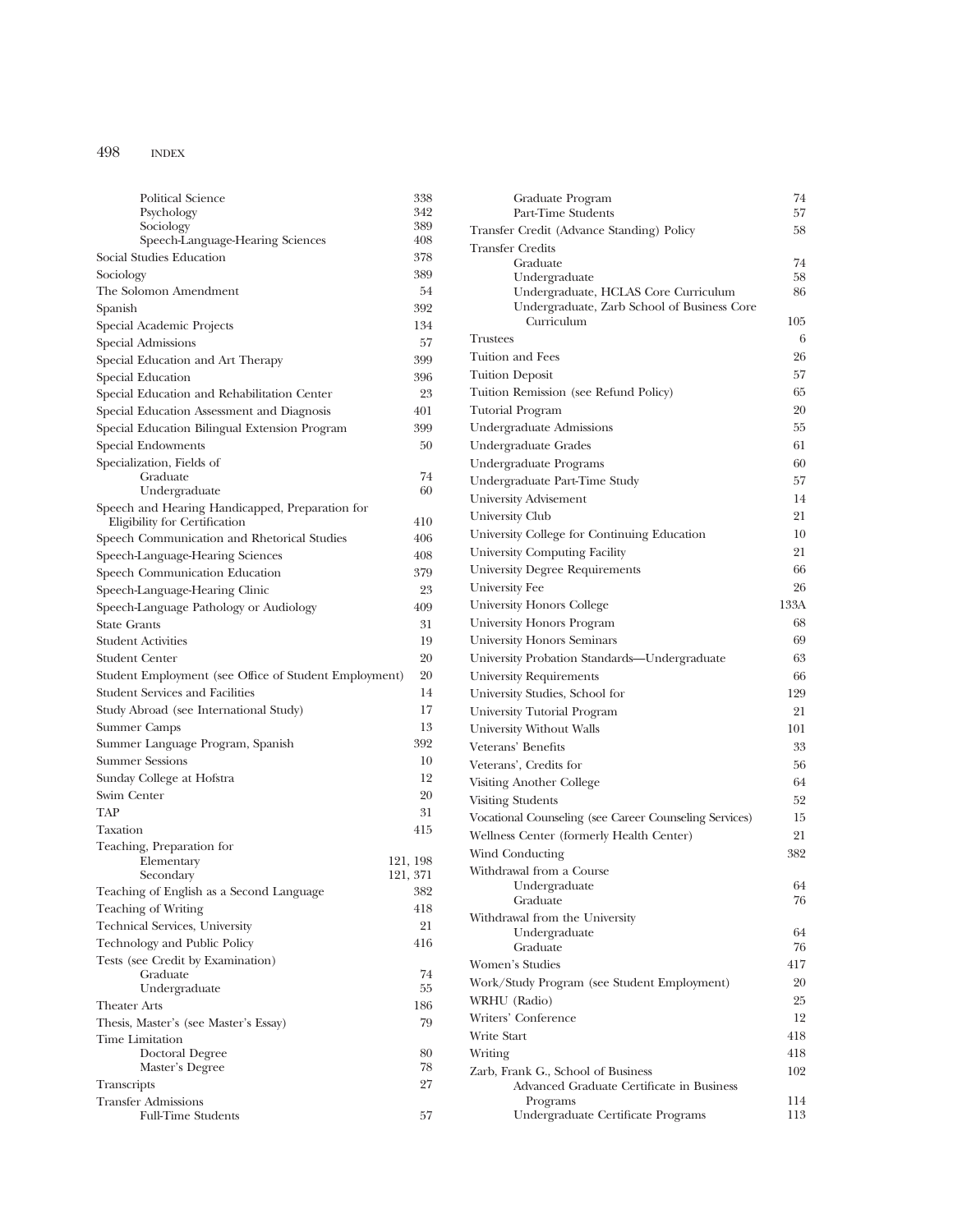| Political Science                                                                | 338                  | Graduate Program                                          | 74   |
|----------------------------------------------------------------------------------|----------------------|-----------------------------------------------------------|------|
| Psychology                                                                       | 342                  | Part-Time Students                                        | 57   |
| Sociology                                                                        | 389                  | Transfer Credit (Advance Standing) Policy                 | 58   |
| Speech-Language-Hearing Sciences                                                 | 408                  | <b>Transfer Credits</b>                                   |      |
| Social Studies Education                                                         | 378                  | Graduate                                                  | 74   |
| Sociology                                                                        | 389                  | Undergraduate                                             | 58   |
| The Solomon Amendment                                                            | 54                   | Undergraduate, HCLAS Core Curriculum                      | 86   |
| Spanish                                                                          | 392                  | Undergraduate, Zarb School of Business Core<br>Curriculum | 105  |
| Special Academic Projects                                                        | 134                  | <b>Trustees</b>                                           | 6    |
| Special Admissions                                                               | 57                   |                                                           |      |
| Special Education and Art Therapy                                                | 399                  | Tuition and Fees                                          | 26   |
| Special Education                                                                | 396                  | <b>Tuition Deposit</b>                                    | 57   |
| Special Education and Rehabilitation Center                                      | 23                   | Tuition Remission (see Refund Policy)                     | 65   |
| Special Education Assessment and Diagnosis                                       | 401                  | <b>Tutorial Program</b>                                   | 20   |
| Special Education Bilingual Extension Program                                    | 399                  | Undergraduate Admissions                                  | 55   |
| Special Endowments                                                               | 50                   | Undergraduate Grades                                      | 61   |
| Specialization, Fields of                                                        |                      | Undergraduate Programs                                    | 60   |
| Graduate                                                                         | 74                   | Undergraduate Part-Time Study                             | 57   |
| Undergraduate                                                                    | 60                   | University Advisement                                     | 14   |
| Speech and Hearing Handicapped, Preparation for<br>Eligibility for Certification | 410                  | University Club                                           | 21   |
| Speech Communication and Rhetorical Studies                                      | 406                  | University College for Continuing Education               | 10   |
|                                                                                  | 408                  | University Computing Facility                             | 21   |
| Speech-Language-Hearing Sciences                                                 | 379                  | University Degree Requirements                            | 66   |
| Speech Communication Education                                                   | 23                   | University Fee                                            | 26   |
| Speech-Language-Hearing Clinic                                                   |                      | University Honors College                                 | 133A |
| Speech-Language Pathology or Audiology                                           | 409                  | University Honors Program                                 | 68   |
| <b>State Grants</b>                                                              | 31                   |                                                           | 69   |
| <b>Student Activities</b>                                                        | 19                   | University Honors Seminars                                |      |
| <b>Student Center</b>                                                            | 20                   | University Probation Standards-Undergraduate              | 63   |
| Student Employment (see Office of Student Employment)                            | 20                   | <b>University Requirements</b>                            | 66   |
| <b>Student Services and Facilities</b>                                           | 14                   | University Studies, School for                            | 129  |
| Study Abroad (see International Study)                                           | 17                   | University Tutorial Program                               | 21   |
| Summer Camps                                                                     | 13                   | University Without Walls                                  | 101  |
| Summer Language Program, Spanish                                                 | 392                  | Veterans' Benefits                                        | 33   |
| <b>Summer Sessions</b>                                                           | 10                   | Veterans', Credits for                                    | 56   |
| Sunday College at Hofstra                                                        | 12                   | Visiting Another College                                  | 64   |
| Swim Center                                                                      | 20                   | <b>Visiting Students</b>                                  | 52   |
| TAP                                                                              | 31                   | Vocational Counseling (see Career Counseling Services)    | 15   |
| Taxation                                                                         | 415                  | Wellness Center (formerly Health Center)                  | 21   |
| Teaching, Preparation for                                                        |                      | Wind Conducting                                           | 382  |
| Elementary<br>Secondary                                                          | 121, 198<br>121, 371 | Withdrawal from a Course                                  |      |
| Teaching of English as a Second Language                                         | $382\,$              | Undergraduate                                             | 64   |
|                                                                                  |                      | Graduate                                                  | 76   |
| Teaching of Writing                                                              | 418                  | Withdrawal from the University                            |      |
| Technical Services, University                                                   | 21                   | Undergraduate                                             | 64   |
| Technology and Public Policy                                                     | 416                  | Graduate                                                  | 76   |
| Tests (see Credit by Examination)<br>Graduate                                    | 74                   | Women's Studies                                           | 417  |
| Undergraduate                                                                    | 55                   | Work/Study Program (see Student Employment)               | 20   |
| <b>Theater Arts</b>                                                              | 186                  | WRHU (Radio)                                              | 25   |
| Thesis, Master's (see Master's Essay)                                            | 79                   | Writers' Conference                                       | 12   |
| Time Limitation                                                                  |                      | Write Start                                               | 418  |
| Doctoral Degree                                                                  | 80                   | Writing                                                   | 418  |
| Master's Degree                                                                  | 78                   | Zarb, Frank G., School of Business                        | 102  |
| Transcripts                                                                      | 27                   | Advanced Graduate Certificate in Business                 |      |
| <b>Transfer Admissions</b>                                                       |                      | Programs                                                  | 114  |
| <b>Full-Time Students</b>                                                        | 57                   | Undergraduate Certificate Programs                        | 113  |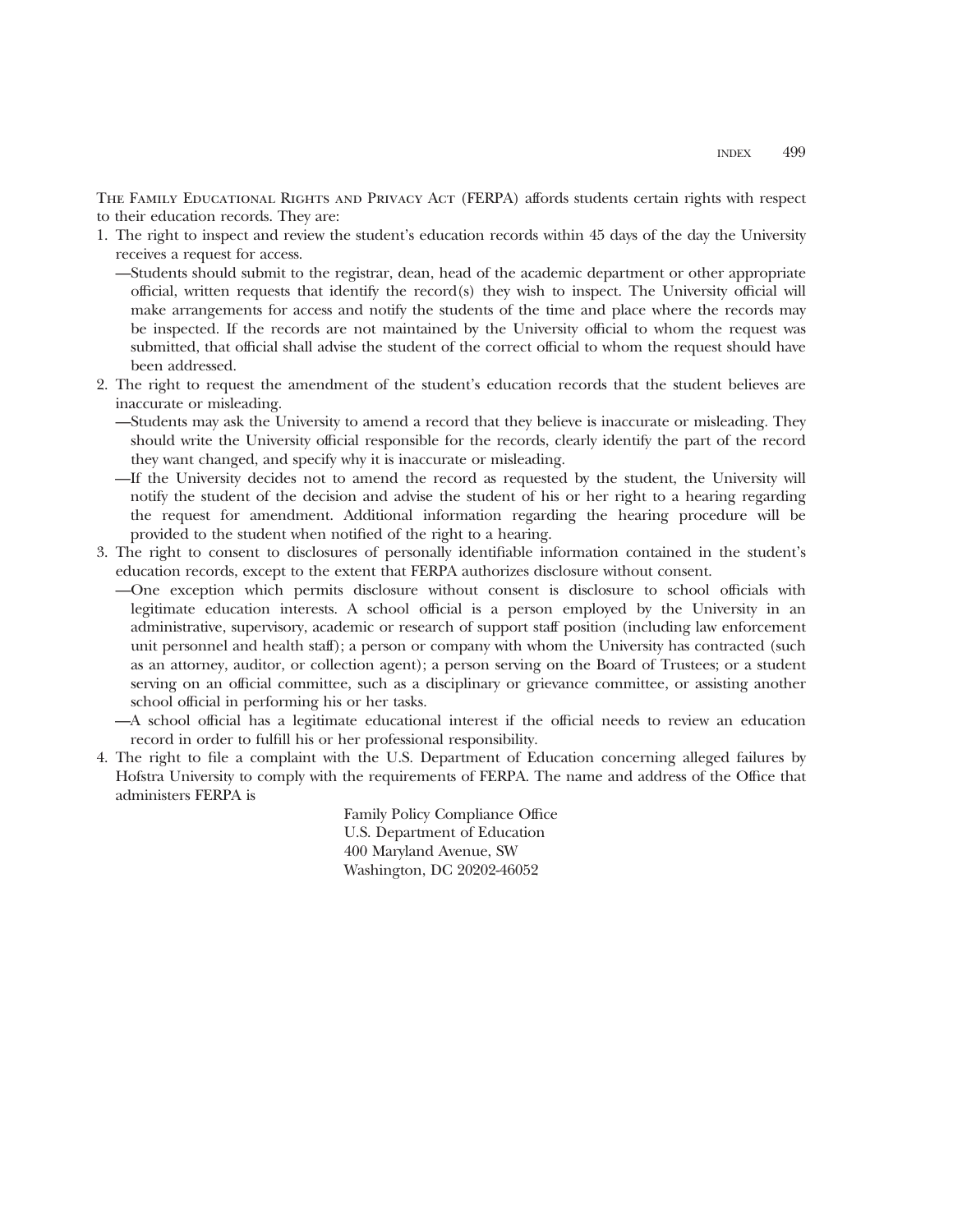THE FAMILY EDUCATIONAL RIGHTS AND PRIVACY ACT (FERPA) affords students certain rights with respect to their education records. They are:

- 1. The right to inspect and review the student's education records within 45 days of the day the University receives a request for access.
	- —Students should submit to the registrar, dean, head of the academic department or other appropriate official, written requests that identify the record(s) they wish to inspect. The University official will make arrangements for access and notify the students of the time and place where the records may be inspected. If the records are not maintained by the University official to whom the request was submitted, that official shall advise the student of the correct official to whom the request should have been addressed.
- 2. The right to request the amendment of the student's education records that the student believes are inaccurate or misleading.
	- —Students may ask the University to amend a record that they believe is inaccurate or misleading. They should write the University official responsible for the records, clearly identify the part of the record they want changed, and specify why it is inaccurate or misleading.
	- —If the University decides not to amend the record as requested by the student, the University will notify the student of the decision and advise the student of his or her right to a hearing regarding the request for amendment. Additional information regarding the hearing procedure will be provided to the student when notified of the right to a hearing.
- 3. The right to consent to disclosures of personally identifiable information contained in the student's education records, except to the extent that FERPA authorizes disclosure without consent.
	- —One exception which permits disclosure without consent is disclosure to school officials with legitimate education interests. A school official is a person employed by the University in an administrative, supervisory, academic or research of support staff position (including law enforcement unit personnel and health staff); a person or company with whom the University has contracted (such as an attorney, auditor, or collection agent); a person serving on the Board of Trustees; or a student serving on an official committee, such as a disciplinary or grievance committee, or assisting another school official in performing his or her tasks.
	- —A school official has a legitimate educational interest if the official needs to review an education record in order to fulfill his or her professional responsibility.
- 4. The right to file a complaint with the U.S. Department of Education concerning alleged failures by Hofstra University to comply with the requirements of FERPA. The name and address of the Office that administers FERPA is

Family Policy Compliance Office U.S. Department of Education 400 Maryland Avenue, SW Washington, DC 20202-46052